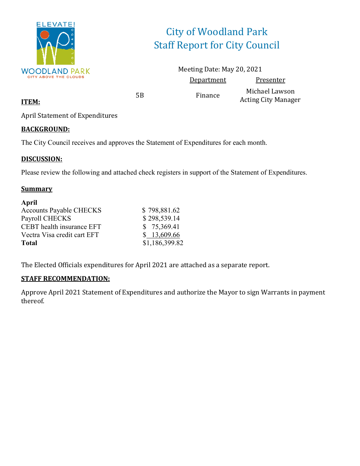

# City of Woodland Park Staff Report for City Council

Meeting Date: May 20, 2021 Department Presenter

5B Finance Michael Lawson Acting City Manager

April Statement of Expenditures

### **BACKGROUND:**

**ITEM:**

The City Council receives and approves the Statement of Expenditures for each month.

### **DISCUSSION:**

Please review the following and attached check registers in support of the Statement of Expenditures.

### **Summary**

| April                          |                |
|--------------------------------|----------------|
| <b>Accounts Payable CHECKS</b> | \$798,881.62   |
| Payroll CHECKS                 | \$298,539.14   |
| CEBT health insurance EFT      | \$75,369.41    |
| Vectra Visa credit cart EFT    | \$13,609.66    |
| <b>Total</b>                   | \$1,186,399.82 |

The Elected Officials expenditures for April 2021 are attached as a separate report.

### **STAFF RECOMMENDATION:**

Approve April 2021 Statement of Expenditures and authorize the Mayor to sign Warrants in payment thereof.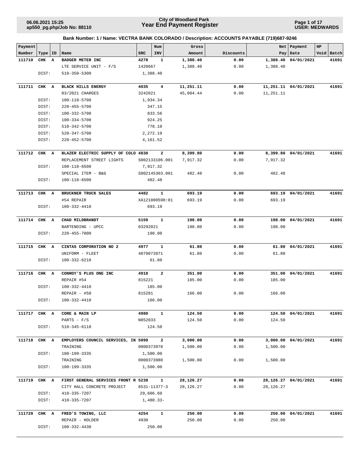**ap550\_pg.php/Job No: 88110**

# **Year End Payment Register City of Woodland Park 06.06.2021 15:25**

**Page 1 of 17 USER: MEDWARDS**

| Payment |       |    |                                     |          | Num            | Gross     |           |           | Net Payment          | HP |            |
|---------|-------|----|-------------------------------------|----------|----------------|-----------|-----------|-----------|----------------------|----|------------|
| Number  | Type  | ID | Name                                | SRC      | INV            | Amount    | Discounts |           | Pay   Date           |    | Void Batch |
| 111710  | CHK   | A  | BADGER METER INC                    | 4278     | 1              | 1,388.40  | 0.00      | 1,388.40  | 04/01/2021           |    | 41691      |
|         |       |    | LTE SERVICE UNIT - F/S              | 1420667  |                | 1,388.40  | 0.00      | 1,388.40  |                      |    |            |
|         | DIST: |    | 510-350-5300                        |          | 1,388.40       |           |           |           |                      |    |            |
|         |       |    |                                     |          |                |           |           |           |                      |    |            |
| 111711  | CHK A |    | <b>BLACK HILLS ENERGY</b>           | 4035     | $\overline{4}$ | 11,251.11 | 0.00      |           | 11,251.11 04/01/2021 |    | 41691      |
|         |       |    | 03/2021 CHARGES                     | 3242021  |                | 45,004.44 | 0.00      | 11,251.11 |                      |    |            |
|         | DIST: |    | 100-118-5700                        |          | 1,934.34       |           |           |           |                      |    |            |
|         | DIST: |    | $220 - 455 - 5700$                  |          | 347.15         |           |           |           |                      |    |            |
|         | DIST: |    | 100-332-5700                        |          | 833.56         |           |           |           |                      |    |            |
|         | DIST: |    | 100-334-5700                        |          | 924.25         |           |           |           |                      |    |            |
|         | DIST: |    | 510-342-5700                        |          | 778.10         |           |           |           |                      |    |            |
|         | DIST: |    | 520-347-5700                        |          | 2,272.19       |           |           |           |                      |    |            |
|         | DIST: |    | 220-452-5700                        |          | 4,161.52       |           |           |           |                      |    |            |
| 111712  | CHK A |    | BLAZER ELECTRIC SUPPLY OF COLO 4830 |          | 2              | 8,399.80  | 0.00      |           | 8,399.80 04/01/2021  |    | 41691      |
|         |       |    | REPLACEMENT STREET LIGHTS           |          | S002133106.001 | 7,917.32  | 0.00      | 7,917.32  |                      |    |            |
|         | DIST: |    | 100-118-6500                        |          | 7,917.32       |           |           |           |                      |    |            |
|         |       |    | SPECIAL ITEM - B&G                  |          | S002145303.001 | 482.48    | 0.00      | 482.48    |                      |    |            |
|         | DIST: |    | 100-118-6500                        |          | 482.48         |           |           |           |                      |    |            |
|         |       |    |                                     |          |                |           |           |           |                      |    |            |
| 111713  | CHK A |    | BRUCKNER TRUCK SALES                | 4482     | $\mathbf{1}$   | 693.19    | 0.00      |           | 693.19 04/01/2021    |    | 41691      |
|         |       |    | #54 REPAIR                          |          | XA121000590:01 | 693.19    | 0.00      | 693.19    |                      |    |            |
|         | DIST: |    | 100-332-4410                        |          | 693.19         |           |           |           |                      |    |            |
|         |       |    |                                     |          |                |           |           |           |                      |    |            |
| 111714  | CHK A |    | CHAD MILDBRANDT                     | 5159     | $\mathbf{1}$   | 198.00    | 0.00      | 198.00    | 04/01/2021           |    | 41691      |
|         |       |    | BARTENDING - UPCC                   | 03292021 |                | 198.00    | 0.00      | 198.00    |                      |    |            |
|         | DIST: |    | 220-455-7000                        |          | 198.00         |           |           |           |                      |    |            |
| 111715  | CHK A |    | CINTAS CORPORATION NO 2             | 4977     | 1              | 61.80     | 0.00      |           | 61.80 04/01/2021     |    | 41691      |
|         |       |    | UNIFORM - FLEET                     |          | 4079073971     | 61.80     | 0.00      | 61.80     |                      |    |            |
|         | DIST: |    | 100-332-6210                        |          | 61.80          |           |           |           |                      |    |            |
|         |       |    |                                     |          |                |           |           |           |                      |    |            |
| 111716  | CHK A |    | CONROY'S PLUS ONE INC               | 4918     | $\mathbf{2}$   | 351.00    | 0.00      | 351.00    | 04/01/2021           |    | 41691      |
|         |       |    | REPAIR #54                          | 815221   |                | 185.00    | 0.00      | 185.00    |                      |    |            |
|         | DIST: |    | 100-332-4410                        |          | 185.00         |           |           |           |                      |    |            |
|         |       |    | $REPAIR - #50$                      | 815281   |                | 166.00    | 0.00      | 166.00    |                      |    |            |
|         | DIST: |    | 100-332-4410                        |          | 166.00         |           |           |           |                      |    |            |
| 111717  | CHK A |    | CORE & MAIN LP                      | 4980     | $\mathbf{1}$   | 124.50    | 0.00      |           | 124.50 04/01/2021    |    | 41691      |
|         |       |    | PARTS - $F/S$                       | N852033  |                | 124.50    | 0.00      | 124.50    |                      |    |            |
|         | DIST: |    | 510-345-6110                        |          | 124.50         |           |           |           |                      |    |            |
|         |       |    |                                     |          |                |           |           |           |                      |    |            |
| 111718  | CHK A |    | EMPLOYERS COUNCIL SERVICES, IN 5099 |          | $\mathbf{2}$   | 3,000.00  | 0.00      |           | 3,000.00 04/01/2021  |    | 41691      |
|         |       |    | TRAINING                            |          | 0000373978     | 1,500.00  | 0.00      | 1,500.00  |                      |    |            |
|         | DIST: |    | 100-199-3335                        |          | 1,500.00       |           |           |           |                      |    |            |
|         |       |    | TRAINING                            |          | 0000373980     | 1,500.00  | 0.00      | 1,500.00  |                      |    |            |
|         | DIST: |    | 100-199-3335                        |          | 1,500.00       |           |           |           |                      |    |            |
| 111719  | CHK A |    | FIRST GENERAL SERVICES FRONT R 5238 |          | $\mathbf{1}$   | 28,126.27 | 0.00      |           | 28,126.27 04/01/2021 |    | 41691      |
|         |       |    | CITY HALL CONCRETE PROJECT          |          | 8531-11377-3   | 28,126.27 | 0.00      | 28,126.27 |                      |    |            |
|         | DIST: |    | 410-335-7207                        |          | 29,606.60      |           |           |           |                      |    |            |
|         | DIST: |    | 410-335-7207                        |          | 1,480.33-      |           |           |           |                      |    |            |
|         |       |    |                                     |          |                |           |           |           |                      |    |            |
| 111720  | CHK A |    | FRED'S TOWING, LLC                  | 4254     | $\mathbf{1}$   | 250.00    | 0.00      |           | 250.00 04/01/2021    |    | 41691      |
|         |       |    | REPAIR - HOLDER                     | 4930     |                | 250.00    | 0.00      | 250.00    |                      |    |            |
|         | DIST: |    | 100-332-4430                        |          | 250.00         |           |           |           |                      |    |            |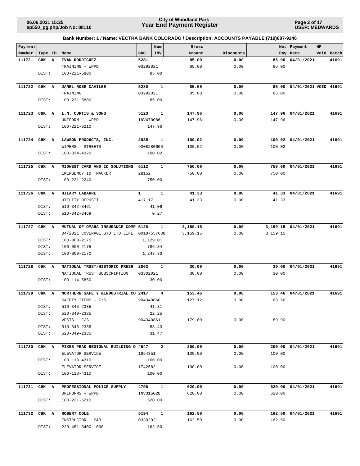**Page 2 of 17 USER: MEDWARDS**

| Payment      |       |    |                                                                   |                   | Num            | Gross            |              | Net      | Payment                     | HP |            |
|--------------|-------|----|-------------------------------------------------------------------|-------------------|----------------|------------------|--------------|----------|-----------------------------|----|------------|
| Number       | Type  | ID | Name                                                              | <b>SRC</b>        | <b>INV</b>     | Amount           | Discounts    |          | Pay   Date                  |    | Void Batch |
| 111721       | CHK A |    | IVAN RODRIGUEZ                                                    | 5281              | 1              | 85.00            | 0.00         | 85.00    | 04/01/2021                  |    | 41691      |
|              |       |    | TRAINING - WPPD                                                   | 03292021          |                | 85.00            | 0.00         | 85.00    |                             |    |            |
|              | DIST: |    | 100-221-5800                                                      |                   | 85.00          |                  |              |          |                             |    |            |
|              |       |    |                                                                   |                   |                |                  |              |          |                             |    |            |
| 111722       | CHK A |    | <b>JANEL ROSE CAVILEE</b>                                         | 5280              | $\mathbf{1}$   | 85.00            | 0.00         |          | 85.00 04/01/2021 VOID 41691 |    |            |
|              |       |    | TRAINING                                                          | 03292021          |                | 85.00            | 0.00         | 85.00    |                             |    |            |
|              | DIST: |    | 100-221-5800                                                      |                   | 85.00          |                  |              |          |                             |    |            |
|              |       |    |                                                                   |                   |                |                  |              |          |                             |    |            |
| 111723       | CHK A |    | L.N. CURTIS & SONS<br>UNIFORM - WPPD                              | 5123<br>INV470086 | $\mathbf{1}$   | 147.96<br>147.96 | 0.00<br>0.00 | 147.96   | 147.96 04/01/2021           |    | 41691      |
|              | DIST: |    | 100-221-6210                                                      |                   | 147.96         |                  |              |          |                             |    |            |
|              |       |    |                                                                   |                   |                |                  |              |          |                             |    |            |
| 111724       | CHK A |    | LAWSON PRODUCTS, INC.                                             | 2935              | 1              | 100.02           | 0.00         |          | 100.02 04/01/2021           |    | 41691      |
|              |       |    | WIPERS - STREETS                                                  | 9308280606        |                | 100.02           | 0.00         | 100.02   |                             |    |            |
|              | DIST: |    | 100-334-4320                                                      |                   | 100.02         |                  |              |          |                             |    |            |
|              |       |    |                                                                   |                   |                |                  |              |          |                             |    |            |
| 111725       | CHK A |    | MIDWEST CARD AND ID SOLUTIONS                                     | 5112              | 1              | 750.00           | 0.00         |          | 750.00 04/01/2021           |    | 41691      |
|              |       |    | EMERGENCY ID TRACKER                                              | 28152             |                | 750.00           | 0.00         | 750.00   |                             |    |            |
|              | DIST: |    | 100-221-2240                                                      |                   | 750.00         |                  |              |          |                             |    |            |
| 111726       | CHK A |    | HILARY LABARRE                                                    | $\mathbf{1}$      | 1              | 41.33            | 0.00         |          | 41.33 04/01/2021            |    | 41691      |
|              |       |    | UTILITY DEPOSIT                                                   | 417.17            |                | 41.33            | 0.00         | 41.33    |                             |    |            |
|              | DIST: |    | 510-342-3461                                                      |                   | 41.06          |                  |              |          |                             |    |            |
|              | DIST: |    | 510-342-3469                                                      |                   | 0.27           |                  |              |          |                             |    |            |
|              |       |    |                                                                   |                   |                |                  |              |          |                             |    |            |
| 111727       | CHK A |    | MUTUAL OF OMAHA INSURANCE COMP 5128                               |                   | 1              | 3,159.15         | 0.00         |          | 3,159.15 04/01/2021         |    | 41691      |
|              |       |    | 04/2021 COVERAGE STD LTD LIFE 00187557638                         |                   |                | 3,159.15         | 0.00         | 3,159.15 |                             |    |            |
|              | DIST: |    | 100-000-2175                                                      |                   | 1,129.01       |                  |              |          |                             |    |            |
|              | DIST: |    | 100-000-2175                                                      |                   | 786.84         |                  |              |          |                             |    |            |
|              | DIST: |    | 100-000-2170                                                      |                   | 1,243.30       |                  |              |          |                             |    |            |
|              |       |    |                                                                   |                   |                |                  |              |          |                             |    |            |
| 111728       | CHK A |    | NATIONAL TRUST/HISTORIC PRESR 2863<br>NATIONAL TRUST SUBSCRIPTION | 03302021          | $\mathbf{1}$   | 30.00            | 0.00         |          | 30.00 04/01/2021            |    | 41691      |
|              |       |    |                                                                   |                   |                | 30.00            | 0.00         | 30.00    |                             |    |            |
|              | DIST: |    | 100-114-5850                                                      |                   | 30.00          |                  |              |          |                             |    |            |
| 111729       | CHK A |    | NORTHERN SAFETY & INDUSTRIAL CO 2417                              |                   | 4              | 153.46           | 0.00         |          | 153.46 04/01/2021           |    | 41691      |
|              |       |    | SAFETY ITEMS - F/S                                                | 904340860         |                | 127.12           | 0.00         | 63.56    |                             |    |            |
|              | DIST: |    | 510-345-2335                                                      |                   | 41.31          |                  |              |          |                             |    |            |
|              | DIST: |    | 520-349-2335                                                      |                   | 22.25          |                  |              |          |                             |    |            |
|              |       |    | $VESTS - F/S$                                                     | 904340861         |                | 179.80           | 0.00         | 89.90    |                             |    |            |
|              | DIST: |    | 510-345-2335                                                      |                   | 58.43          |                  |              |          |                             |    |            |
|              | DIST: |    | 520-349-2335                                                      |                   | 31.47          |                  |              |          |                             |    |            |
|              |       |    |                                                                   |                   |                |                  |              |          |                             |    |            |
| 111730       | CHK A |    | PIKES PEAK REGIONAL BUILDING D 4647                               |                   | $\overline{a}$ | 200.00           | 0.00         |          | 200.00 04/01/2021           |    | 41691      |
|              | DIST: |    | ELEVATOR SERVICE<br>100-118-4310                                  | 1654351           | 100.00         | 100.00           | 0.00         | 100.00   |                             |    |            |
|              |       |    | ELEVATOR SERVICE                                                  | 1742582           |                | 100.00           | 0.00         | 100.00   |                             |    |            |
|              | DIST: |    | 100-118-4310                                                      |                   | 100.00         |                  |              |          |                             |    |            |
|              |       |    |                                                                   |                   |                |                  |              |          |                             |    |            |
| 111731 CHK A |       |    | PROFESSIONAL POLICE SUPPLY                                        | 4796              | $\mathbf{1}$   | 620.00           | 0.00         |          | 620.00 04/01/2021           |    | 41691      |
|              |       |    | UNIFORMS - WPPD                                                   | INV315028         |                | 620.00           | 0.00         | 620.00   |                             |    |            |
|              | DIST: |    | 100-221-6210                                                      |                   | 620.00         |                  |              |          |                             |    |            |
|              |       |    |                                                                   |                   |                |                  |              |          |                             |    |            |
| 111732 CHK A |       |    | ROBERT COLE                                                       | 5194              | $\mathbf{1}$   | 162.50           | 0.00         |          | 162.50 04/01/2021           |    | 41691      |
|              |       |    | INSTRUCTOR - P&R                                                  | 03302021          |                | 162.50           | 0.00         | 162.50   |                             |    |            |
|              | DIST: |    | 220-451-3400-1000                                                 |                   | 162.50         |                  |              |          |                             |    |            |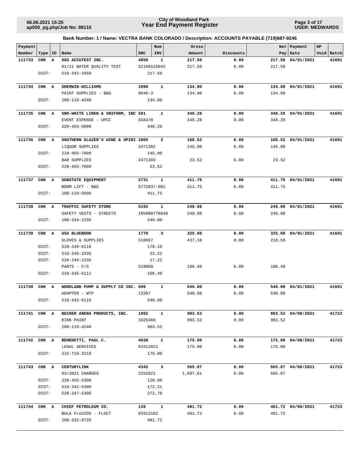**Page 3 of 17 USER: MEDWARDS**

| Payment      |           |                                       |            | Num            | Gross    |           | Net    | Payment           | HP |            |
|--------------|-----------|---------------------------------------|------------|----------------|----------|-----------|--------|-------------------|----|------------|
| Number       | Type   ID | Name                                  | <b>SRC</b> | INV            | Amount   | Discounts |        | Pay   Date        |    | Void Batch |
| 111733       | CHK A     | SGS ACCUTEST INC.                     | 4859       | $\mathbf{1}$   | 217.50   | 0.00      | 217.50 | 04/01/2021        |    | 41691      |
|              |           | 01/21 WATER QUALITY TEST              |            | 52160125642    | 217.50   | 0.00      | 217.50 |                   |    |            |
|              | DIST:     | $510 - 342 - 3350$                    |            | 217.50         |          |           |        |                   |    |            |
|              |           |                                       |            |                |          |           |        |                   |    |            |
| 111734 CHK A |           | SHERWIN-WILLIAMS                      | 1890       | $\mathbf{1}$   | 134.80   | 0.00      |        | 134.80 04/01/2021 |    | 41691      |
|              |           | PAINT SUPPLIES - B&G                  | $9840 - 3$ |                | 134.80   | 0.00      | 134.80 |                   |    |            |
|              | DIST:     | 100-118-4240                          |            | 134.80         |          |           |        |                   |    |            |
|              |           |                                       |            |                |          |           |        |                   |    |            |
| 111735       | CHK A     | SNO-WHITE LINEN & UNIFORM, INC 581    |            | 1              | 348.28   | 0.00      |        | 348.28 04/01/2021 |    | 41691      |
|              |           | EVENT EXPENSE - UPCC                  | S58470     |                | 348.28   | 0.00      | 348.28 |                   |    |            |
|              | DIST:     | $220 - 455 - 5000$                    |            | 348.28         |          |           |        |                   |    |            |
|              |           |                                       |            |                |          |           |        |                   |    |            |
| 111736       | CHK A     | SOUTHERN GLAZER'S WINE & SPIRI 2805   |            | $\overline{a}$ | 168.52   | 0.00      |        | 168.52 04/01/2021 |    | 41691      |
|              |           | LIQUOR SUPPLIES                       | 2471302    |                | 145.00   | 0.00      | 145.00 |                   |    |            |
|              | DIST:     | 220-455-7000                          |            | 145.00         |          |           |        |                   |    |            |
|              |           | BAR SUPPLIES                          | 2471303    |                | 23.52    | 0.00      | 23.52  |                   |    |            |
|              | DIST:     | $220 - 455 - 7000$                    |            | 23.52          |          |           |        |                   |    |            |
|              |           |                                       |            |                |          |           |        |                   |    |            |
| 111737       | CHK A     | SUNSTATE EQUIPMENT                    | 2731       | 1              | 411.75   | 0.00      |        | 411.75 04/01/2021 |    | 41691      |
|              |           | BOOM LIFT - B&G                       |            | 8772037-001    | 411.75   | 0.00      | 411.75 |                   |    |            |
|              | DIST:     | 100-118-5600                          |            | 411.75         |          |           |        |                   |    |            |
|              |           |                                       |            |                |          |           |        |                   |    |            |
| 111738       | CHK A     | TRAFFIC SAFETY STORE                  | 5192       | $\mathbf{1}$   | 249.08   | 0.00      |        | 249.08 04/01/2021 |    | 41691      |
|              |           | SAFETY VESTS - STREETS                |            | INV000778848   | 249.08   | 0.00      | 249.08 |                   |    |            |
|              | DIST:     | 100-334-2335                          |            | 249.08         |          |           |        |                   |    |            |
|              |           |                                       |            |                |          |           |        |                   |    |            |
| 111739       | CHK A     | USA BLUEBOOK                          | 1779       | 3              | 325.08   | 0.00      |        | 325.08 04/01/2021 |    | 41691      |
|              |           |                                       | 518667     |                | 437.18   | 0.00      | 218.59 |                   |    |            |
|              | DIST:     | GLOVES & SUPPLIES                     |            | 178.15         |          |           |        |                   |    |            |
|              |           | 520-349-6110                          |            |                |          |           |        |                   |    |            |
|              | DIST:     | 510-345-2335                          |            | 23.22          |          |           |        |                   |    |            |
|              | DIST:     | 520-349-2335                          |            | 17.22          |          |           |        |                   |    |            |
|              |           | PARTS - $F/S$                         | 519069     |                | 106.49   | 0.00      | 106.49 |                   |    |            |
|              | DIST:     | 510-345-6111                          |            | 106.49         |          |           |        |                   |    |            |
|              |           |                                       |            |                |          |           |        |                   |    |            |
| 111740       | CHK A     | WOODLAND PUMP & SUPPLY CO INC. 699    |            | 1              | 540.00   | 0.00      |        | 540.00 04/01/2021 |    | 41691      |
|              |           | ADAPTER - WTP                         | 13397      |                | 540.00   | 0.00      | 540.00 |                   |    |            |
|              | DIST:     | 510-342-6110                          |            | 540.00         |          |           |        |                   |    |            |
|              |           |                                       |            |                |          |           |        |                   |    |            |
| 111741 CHK A |           | BECKER ARENA PRODUCTS, INC.           | 1992       | $\mathbf{1}$   | 903.52   | 0.00      |        | 903.52 04/08/2021 |    | 41723      |
|              |           | RINK PAINT                            | 1025466    |                | 903.52   | 0.00      | 903.52 |                   |    |            |
|              | DIST:     | 100-118-4240                          |            | 903.52         |          |           |        |                   |    |            |
|              |           |                                       |            |                |          |           |        |                   |    |            |
| 111742 CHK A |           | BENEDETTI, PAUL C.                    | 4038       | $\mathbf{1}$   | 175.00   | 0.00      |        | 175.00 04/08/2021 |    | 41723      |
|              |           | LEGAL SERVICES                        | 03312021   |                | 175.00   | 0.00      | 175.00 |                   |    |            |
|              | DIST:     | 215-710-3210                          |            | 175.00         |          |           |        |                   |    |            |
| 111743 CHK A |           | CENTURYLINK                           |            | 4342 3         | 565.87   | 0.00      |        | 565.87 04/08/2021 |    | 41723      |
|              |           |                                       | 3252021    |                |          | 0.00      | 565.87 |                   |    |            |
|              | DIST:     | 03/2021 CHARGES<br>$220 - 455 - 5300$ |            |                | 1,697.61 |           |        |                   |    |            |
|              |           |                                       |            | 120.96         |          |           |        |                   |    |            |
|              | DIST:     | 510-342-5300                          |            | 172.21         |          |           |        |                   |    |            |
|              | DIST:     | 520-347-5300                          |            | 272.70         |          |           |        |                   |    |            |
| 111744       | CHK A     | CHIEF PETROLEUM CO.                   | 139        | $\mathbf{1}$   | 481.72   | 0.00      |        | 481.72 04/08/2021 |    | 41723      |
|              |           | BULK FLUUIDS - FLEET                  | 03312102   |                | 481.72   | 0.00      | 481.72 |                   |    |            |
|              | DIST:     | 100-332-6720                          |            | 481.72         |          |           |        |                   |    |            |
|              |           |                                       |            |                |          |           |        |                   |    |            |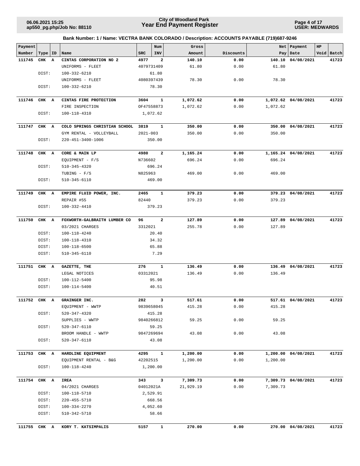**Page 4 of 17 USER: MEDWARDS**

|  | Bank Number: 1 / Name: VECTRA BANK COLORADO / Description: ACCOUNTS PAYABLE (719)687-9246 |  |
|--|-------------------------------------------------------------------------------------------|--|

| Payment<br>Number | Type   ID |   | Name                             | SRC          | Num<br><b>INV</b>        | Gross<br>Amount | Discounts |          | Net Payment<br>Pay   Date | HP<br>Void Batch |
|-------------------|-----------|---|----------------------------------|--------------|--------------------------|-----------------|-----------|----------|---------------------------|------------------|
| 111745            |           |   | CINTAS CORPORATION NO 2          | 4977         | 2                        |                 | 0.00      | 140.10   |                           | 41723            |
|                   | CHK       | А |                                  |              |                          | 140.10<br>61.80 | 0.00      |          | 04/08/2021                |                  |
|                   | DIST:     |   | UNIFORMS - FLEET<br>100-332-6210 |              | 4079731409<br>61.80      |                 |           | 61.80    |                           |                  |
|                   |           |   | UNIFORMS - FLEET                 |              | 4080397439               | 78.30           | 0.00      | 78.30    |                           |                  |
|                   | DIST:     |   | 100-332-6210                     |              | 78.30                    |                 |           |          |                           |                  |
|                   |           |   |                                  |              |                          |                 |           |          |                           |                  |
| 111746            | CHK A     |   | CINTAS FIRE PROTECTION           | 3604         | $\mathbf{1}$             | 1,072.62        | 0.00      |          | 1,072.62 04/08/2021       | 41723            |
|                   |           |   | FIRE INSPECTION                  |              | OF47558873               | 1,072.62        | 0.00      | 1,072.62 |                           |                  |
|                   | DIST:     |   | 100-118-4310                     |              | 1,072.62                 |                 |           |          |                           |                  |
| 111747            | CHK A     |   | COLO SPRINGS CHRISTIAN SCHOOL    | 3819         | $\overline{\phantom{a}}$ | 350.00          | 0.00      |          | 350.00 04/08/2021         | 41723            |
|                   |           |   | GYM RENTAL - VOLLEYBALL          | $2021 - 003$ |                          | 350.00          | 0.00      | 350.00   |                           |                  |
|                   | DIST:     |   | 220-451-3400-1006                |              | 350.00                   |                 |           |          |                           |                  |
|                   |           |   |                                  |              |                          |                 |           |          |                           |                  |
| 111748            | CHK A     |   | CORE & MAIN LP                   | 4980         | $\overline{a}$           | 1,165.24        | 0.00      |          | 1,165.24 04/08/2021       | 41723            |
|                   |           |   | EQUIPMENT - F/S                  | N736602      |                          | 696.24          | 0.00      | 696.24   |                           |                  |
|                   | DIST:     |   | 510-345-4320                     |              | 696.24                   |                 |           |          |                           |                  |
|                   |           |   | TUBING - $F/S$                   | N825963      |                          | 469.00          | 0.00      | 469.00   |                           |                  |
|                   | DIST:     |   | 510-345-6110                     |              | 469.00                   |                 |           |          |                           |                  |
|                   |           |   |                                  |              |                          |                 |           |          |                           |                  |
| 111749            | CHK A     |   | EMPIRE FLUID POWER, INC.         | 2465         | 1                        | 379.23          | 0.00      |          | 379.23 04/08/2021         | 41723            |
|                   |           |   | REPAIR #55                       | 82440        |                          | 379.23          | 0.00      | 379.23   |                           |                  |
|                   | DIST:     |   | 100-332-4410                     |              | 379.23                   |                 |           |          |                           |                  |
| 111750            | CHK A     |   | FOXWORTH-GALBRAITH LUMBER CO     | 96           | $\overline{a}$           | 127.89          | 0.00      |          | 127.89 04/08/2021         | 41723            |
|                   |           |   | 03/2021 CHARGES                  | 3312021      |                          | 255.78          | 0.00      | 127.89   |                           |                  |
|                   | DIST:     |   | 100-118-4240                     |              | 20.40                    |                 |           |          |                           |                  |
|                   | DIST:     |   | 100-118-4310                     |              | 34.32                    |                 |           |          |                           |                  |
|                   | DIST:     |   | 100-118-6500                     |              | 65.88                    |                 |           |          |                           |                  |
|                   | DIST:     |   | 510-345-6110                     |              | 7.29                     |                 |           |          |                           |                  |
|                   |           |   |                                  |              |                          |                 |           |          |                           |                  |
| 111751            | CHK A     |   | GAZETTE, THE                     | 276          | $\mathbf{1}$             | 136.49          | 0.00      |          | 136.49 04/08/2021         | 41723            |
|                   |           |   | LEGAL NOTICES                    | 03312021     |                          | 136.49          | 0.00      | 136.49   |                           |                  |
|                   | DIST:     |   | 100-112-5400                     |              | 95.98                    |                 |           |          |                           |                  |
|                   | DIST:     |   | 100-114-5400                     |              | 40.51                    |                 |           |          |                           |                  |
| 111752            | CHK A     |   | GRAINGER INC.                    | 282          | 3                        | 517.61          | 0.00      |          | 517.61 04/08/2021         | 41723            |
|                   |           |   | EQUIPMENT - WWTP                 |              | 9839658045               | 415.28          | 0.00      | 415.28   |                           |                  |
|                   | DIST:     |   | $520 - 347 - 4320$               |              | 415.28                   |                 |           |          |                           |                  |
|                   |           |   | SUPPLIES - WWTP                  |              | 9840266812               | 59.25           | 0.00      | 59.25    |                           |                  |
|                   | DIST:     |   | 520-347-6110                     |              | 59.25                    |                 |           |          |                           |                  |
|                   |           |   | BROOM HANDLE - WWTP              |              | 9847269694               | 43.08           | 0.00      | 43.08    |                           |                  |
|                   | DIST:     |   | $520 - 347 - 6110$               |              | 43.08                    |                 |           |          |                           |                  |
| 111753            | CHK A     |   | HARDLINE EQUIPMENT               | 4295         | $\mathbf{1}$             | 1,200.00        | 0.00      |          | 1,200.00 04/08/2021       | 41723            |
|                   |           |   | EQUIPMENT RENTAL - B&G           | 42202515     |                          | 1,200.00        | 0.00      | 1,200.00 |                           |                  |
|                   | DIST:     |   | 100-118-4240                     |              | 1,200.00                 |                 |           |          |                           |                  |
|                   |           |   |                                  |              |                          |                 |           |          |                           |                  |
| 111754 CHK A      |           |   | <b>IREA</b>                      | 343          | 3                        | 7,309.73        | 0.00      |          | 7,309.73 04/08/2021       | 41723            |
|                   |           |   | 04/2021 CHARGES                  | 04012021A    |                          | 21,929.19       | 0.00      | 7,309.73 |                           |                  |
|                   | DIST:     |   | 100-118-5710                     |              | 2,529.91                 |                 |           |          |                           |                  |
|                   | DIST:     |   | 220-455-5710                     |              | 668.56                   |                 |           |          |                           |                  |
|                   | DIST:     |   | 100-334-2270                     |              | 4,052.60                 |                 |           |          |                           |                  |
|                   | DIST:     |   | 510-342-5710                     |              | 58.66                    |                 |           |          |                           |                  |
| 111755            | CHK A     |   | KORY T. KATSIMPALIS              | 5157         | $\mathbf{1}$             | 270.00          | 0.00      |          | 270.00 04/08/2021         | 41723            |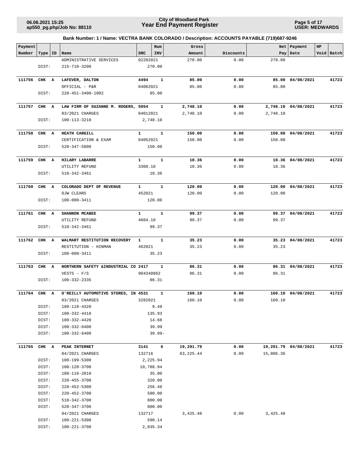**Page 5 of 17 USER: MEDWARDS**

| Payment      |           |                                      |              | Num          | Gross      |           | Net       | Payment              | HP |            |
|--------------|-----------|--------------------------------------|--------------|--------------|------------|-----------|-----------|----------------------|----|------------|
| Number       | Type   ID | Name                                 | <b>SRC</b>   | INV          | Amount     | Discounts | Pay       | Date                 |    | Void Batch |
|              |           | ADMINISTRATIVE SERVICES              | 02282021     |              | 270.00     | 0.00      | 270.00    |                      |    |            |
|              | DIST:     | 215-710-3200                         |              | 270.00       |            |           |           |                      |    |            |
| 111756       | CHK A     | LAFEVER, DALTON                      | 4494         | $\mathbf{1}$ | 85.00      | 0.00      |           | 85.00 04/08/2021     |    | 41723      |
|              |           | OFFICIAL - P&R                       | 04062021     |              | 85.00      | 0.00      | 85.00     |                      |    |            |
|              | DIST:     | 220-451-3400-1002                    |              | 85.00        |            |           |           |                      |    |            |
|              |           |                                      |              |              |            |           |           |                      |    |            |
| 111757       | CHK A     | LAW FIRM OF SUZANNE M. ROGERS, 5054  |              | $\mathbf{1}$ | 2,748.10   | 0.00      |           | 2,748.10 04/08/2021  |    | 41723      |
|              |           | 03/2021 CHARGES                      | 04012021     |              | 2,748.10   | 0.00      | 2,748.10  |                      |    |            |
|              | DIST:     | 100-113-3210                         |              | 2,748.10     |            |           |           |                      |    |            |
| 111758       | CHK A     | <b>HEATH CARGILL</b>                 | $\mathbf{1}$ | 1            | 150.00     | 0.00      |           | 150.00 04/08/2021    |    | 41723      |
|              |           | CERTIFICATION & EXAM                 | 04052021     |              | 150.00     | 0.00      | 150.00    |                      |    |            |
|              | DIST:     | 520-347-5800                         |              | 150.00       |            |           |           |                      |    |            |
|              |           |                                      |              |              |            |           |           |                      |    |            |
| 111759       | CHK A     | <b>HILARY LABARRE</b>                | $\mathbf{1}$ | $\mathbf{1}$ | 10.36      | 0.00      |           | 10.36 04/08/2021     |    | 41723      |
|              |           | UTILITY REFUND                       | 3360.10      |              | 10.36      | 0.00      | 10.36     |                      |    |            |
|              | DIST:     | 510-342-3461                         |              | 10.36        |            |           |           |                      |    |            |
|              |           |                                      |              |              |            |           |           |                      |    |            |
| 111760       | CHK A     | COLORADO DEPT OF REVENUE             | $\mathbf{1}$ | $\mathbf{1}$ | 120.00     | 0.00      |           | 120.00 04/08/2021    |    | 41723      |
|              |           | OJW CLEARS                           | 452021       |              | 120.00     | 0.00      | 120.00    |                      |    |            |
|              | DIST:     | 100-000-3411                         |              | 120.00       |            |           |           |                      |    |            |
|              |           |                                      |              |              |            |           |           |                      |    |            |
| 111761       | CHK A     | SHANNON MCABEE                       | $\mathbf{1}$ | $\mathbf{1}$ | 99.37      | 0.00      |           | 99.37 04/08/2021     |    | 41723      |
|              |           | UTILITY REFUND                       | 4604.10      |              | 99.37      | 0.00      | 99.37     |                      |    |            |
|              | DIST:     | 510-342-3461                         |              | 99.37        |            |           |           |                      |    |            |
| 111762       | CHK A     | WALMART RESTITUTION RECOVERY         | $\mathbf{1}$ | 1            | 35.23      | 0.00      |           | 35.23 04/08/2021     |    | 41723      |
|              |           | RESTITUTION - HINMAN                 | 462021       |              | 35.23      | 0.00      | 35.23     |                      |    |            |
|              | DIST:     | 100-000-3411                         |              | 35.23        |            |           |           |                      |    |            |
| 111763       | CHK A     | NORTHERN SAFETY & INDUSTRIAL CO 2417 |              | 1            | 86.31      | 0.00      |           | 86.31 04/08/2021     |    | 41723      |
|              |           | $VESTS - F/S$                        |              | 904340862    | 86.31      | 0.00      | 86.31     |                      |    |            |
|              | DIST:     | 100-332-2335                         |              | 86.31        |            |           |           |                      |    |            |
|              |           |                                      |              |              |            |           |           |                      |    |            |
| 111764 CHK A |           | O'REILLY AUTOMOTIVE STORES, IN 4531  |              | 1            | 160.10     | 0.00      |           | 160.10 04/08/2021    |    | 41723      |
|              |           | 03/2021 CHARGES                      | 3282021      |              | 160.10     | 0.00      | 160.10    |                      |    |            |
|              | DIST:     | 100-118-4320                         |              | 9.49         |            |           |           |                      |    |            |
|              | DIST:     | 100-332-4410                         |              | 135.93       |            |           |           |                      |    |            |
|              | DIST:     | 100-332-4420                         |              | 14.68        |            |           |           |                      |    |            |
|              | DIST:     | 100-332-6400                         |              | 39.99        |            |           |           |                      |    |            |
|              | DIST:     | 100-332-6400                         |              | $39.99 -$    |            |           |           |                      |    |            |
| 111765       | CHK A     | PEAK INTERNET                        | 3141         | 6            | 19,291.79  | 0.00      |           | 19,291.79 04/08/2021 |    | 41723      |
|              |           | 04/2021 CHARGES                      | 132716       |              | 63, 225.44 | 0.00      | 15,806.36 |                      |    |            |
|              | DIST:     | 100-199-5300                         |              | 2,225.94     |            |           |           |                      |    |            |
|              | DIST:     | 100-120-3700                         |              | 10,788.94    |            |           |           |                      |    |            |
|              | DIST:     | 100-116-2010                         |              | 35.00        |            |           |           |                      |    |            |
|              | DIST:     | 220-455-3700                         |              | 320.00       |            |           |           |                      |    |            |
|              | DIST:     | 220-452-5300                         |              | 256.48       |            |           |           |                      |    |            |
|              | DIST:     | $220 - 452 - 3700$                   |              | 580.00       |            |           |           |                      |    |            |
|              | DIST:     | 510-342-3700                         |              | 800.00       |            |           |           |                      |    |            |
|              | DIST:     | 520-347-3700                         |              | 800.00       |            |           |           |                      |    |            |
|              |           | 04/2021 CHARGES                      | 132717       |              | 3,425.48   | 0.00      | 3,425.48  |                      |    |            |
|              | DIST:     | 100-221-5300                         |              | 590.14       |            |           |           |                      |    |            |
|              | DIST:     | 100-221-3700                         |              | 2,835.34     |            |           |           |                      |    |            |
|              |           |                                      |              |              |            |           |           |                      |    |            |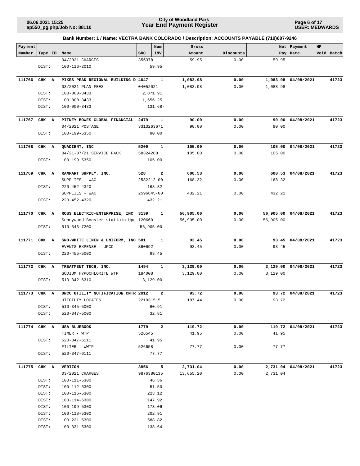**Page 6 of 17 USER: MEDWARDS**

| Payment      |           |                                       |            | Num            | Gross           |              | Net       | Payment              | HP |            |
|--------------|-----------|---------------------------------------|------------|----------------|-----------------|--------------|-----------|----------------------|----|------------|
| Number       | Type   ID | Name                                  | <b>SRC</b> | INV            | Amount          | Discounts    | Pay       | Date                 |    | Void Batch |
|              |           | 04/2021 CHARGES                       | 356378     |                | 59.95           | 0.00         | 59.95     |                      |    |            |
|              | DIST:     | 100-116-2010                          |            | 59.95          |                 |              |           |                      |    |            |
|              |           |                                       |            |                |                 |              |           |                      |    |            |
| 111766       | CHK A     | PIKES PEAK REGIONAL BUILDING D 4647   |            | $\mathbf{1}$   | 1,083.98        | 0.00         |           | 1,083.98 04/08/2021  |    | 41723      |
|              |           | 03/2021 PLAN FEES                     | 04052021   |                | 1,083.98        | 0.00         | 1,083.98  |                      |    |            |
|              | DIST:     | $100 - 000 - 3433$                    |            | 2,871.91       |                 |              |           |                      |    |            |
|              | DIST:     | $100 - 000 - 3433$                    |            | $1,656.25-$    |                 |              |           |                      |    |            |
|              | DIST:     | $100 - 000 - 3433$                    |            | 131.68-        |                 |              |           |                      |    |            |
|              |           |                                       |            |                |                 |              |           |                      |    |            |
| 111767       | CHK A     | PITNEY BOWES GLOBAL FINANCIAL 2479    |            | 1              | 90.00           | 0.00         | 90.00     | 04/08/2021           |    | 41723      |
|              |           | 04/2021 POSTAGE                       |            | 3313263671     | 90.00           | 0.00         | 90.00     |                      |    |            |
|              | DIST:     | 100-199-5350                          |            | 90.00          |                 |              |           |                      |    |            |
|              |           |                                       |            |                |                 |              |           |                      |    |            |
| 111768       | CHK A     | QUADIENT, INC                         | 5209       | 1              | 105.00          | 0.00         |           | 105.00 04/08/2021    |    | 41723      |
|              |           | 04/21-07/21 SERVICE PACK              | 58324288   |                | 105.00          | 0.00         | 105.00    |                      |    |            |
|              | DIST:     | 100-199-5350                          |            | 105.00         |                 |              |           |                      |    |            |
| 111769       | CHK A     | RAMPART SUPPLY, INC.                  | 528        | $\overline{2}$ | 600.53          | 0.00         |           | 600.53 04/08/2021    |    | 41723      |
|              |           | SUPPLIES - WAC                        |            | 2582212-00     | 168.32          | 0.00         | 168.32    |                      |    |            |
|              | DIST:     | $220 - 452 - 4320$                    |            | 168.32         |                 |              |           |                      |    |            |
|              |           | SUPPLIES - WAC                        |            | 2596645-00     | 432.21          | 0.00         | 432.21    |                      |    |            |
|              | DIST:     | $220 - 452 - 4320$                    |            | 432.21         |                 |              |           |                      |    |            |
|              |           |                                       |            |                |                 |              |           |                      |    |            |
| 111770       | CHK A     | ROSS ELECTRIC-ENTERPRISE, INC 3139    |            | $\mathbf{1}$   | 56,905.00       | 0.00         |           | 56,905.00 04/08/2021 |    | 41723      |
|              |           | Sunnywood Booster statioin Upg 120660 |            |                | 56,905.00       | 0.00         | 56,905.00 |                      |    |            |
|              | DIST:     | 510-343-7200                          |            | 56,905.00      |                 |              |           |                      |    |            |
|              |           |                                       |            |                |                 |              |           |                      |    |            |
| 111771       | CHK A     | SNO-WHITE LINEN & UNIFORM, INC 581    |            | 1              | 93.45           | 0.00         |           | 93.45 04/08/2021     |    | 41723      |
|              |           | EVENTS EXPENSE - UPCC                 | S60692     |                | 93.45           | 0.00         | 93.45     |                      |    |            |
|              | DIST:     | $220 - 455 - 5000$                    |            | 93.45          |                 |              |           |                      |    |            |
|              |           |                                       |            |                |                 |              |           |                      |    |            |
| 111772       | CHK A     | TREATMENT TECH, INC.                  | 1494       | 1              | 3,129.00        | 0.00         |           | 3,129.00 04/08/2021  |    | 41723      |
|              |           | SODIUM HYPOCHLORITE WTP               | 184008     |                | 3,129.00        | 0.00         | 3,129.00  |                      |    |            |
|              | DIST:     | 510-342-6310                          |            | 3,129.00       |                 |              |           |                      |    |            |
|              |           | UNCC UTILITY NOTIFICATION CNTR 2012   |            |                |                 |              |           |                      |    |            |
| 111773       | CHK A     | UTIOILTY LOCATES                      | 221031515  | 2              | 93.72<br>187.44 | 0.00<br>0.00 | 93.72     | 93.72 04/08/2021     |    | 41723      |
|              | DIST:     | $510 - 345 - 5000$                    |            | 60.91          |                 |              |           |                      |    |            |
|              | DIST:     | 520-347-5000                          |            | 32.81          |                 |              |           |                      |    |            |
|              |           |                                       |            |                |                 |              |           |                      |    |            |
| 111774 CHK A |           | USA BLUEBOOK                          | 1779       | $\overline{a}$ | 119.72          | 0.00         |           | 119.72 04/08/2021    |    | 41723      |
|              |           | TIMER - WTP                           | 526545     |                | 41.95           | 0.00         | 41.95     |                      |    |            |
|              | DIST:     | 520-347-6111                          |            | 41.95          |                 |              |           |                      |    |            |
|              |           | FILTER - WWTP                         | 526658     |                | 77.77           | 0.00         | 77.77     |                      |    |            |
|              | DIST:     | 520-347-6111                          |            | 77.77          |                 |              |           |                      |    |            |
|              |           |                                       |            |                |                 |              |           |                      |    |            |
| 111775 CHK A |           | VERIZON                               | 3856       | 5              | 2,731.04        | 0.00         |           | 2,731.04 04/08/2021  |    | 41723      |
|              |           | 03/2021 CHARGES                       |            | 9876380135     | 13,655.20       | 0.00         | 2,731.04  |                      |    |            |
|              | DIST:     | 100-111-5300                          |            | 46.36          |                 |              |           |                      |    |            |
|              | DIST:     | 100-112-5300                          |            | 51.50          |                 |              |           |                      |    |            |
|              | DIST:     | 100-116-5300                          |            | 223.12         |                 |              |           |                      |    |            |
|              | DIST:     | 100-114-5300                          |            | 147.92         |                 |              |           |                      |    |            |
|              | DIST:     | 100-199-5300                          |            | 173.06         |                 |              |           |                      |    |            |
|              | DIST:     | 100-118-5300                          |            | 202.91         |                 |              |           |                      |    |            |
|              | DIST:     | 100-221-5300                          |            | 588.82         |                 |              |           |                      |    |            |
|              | DIST:     | 100-331-5300                          |            | 138.64         |                 |              |           |                      |    |            |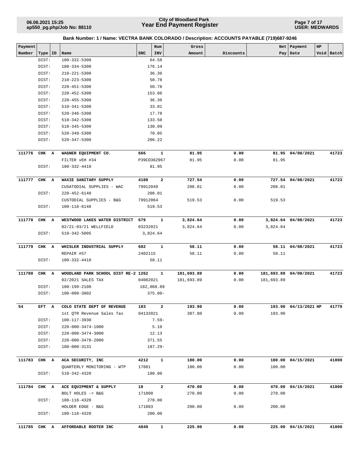**Page 7 of 17 USER: MEDWARDS**

|         | Bank Number: 1 / Name: VECTRA BANK COLORADO / Description: ACCOUNTS PAYABLE (719)687-9246 |   |                                     |          |                         |            |           |            |                       |             |            |  |  |
|---------|-------------------------------------------------------------------------------------------|---|-------------------------------------|----------|-------------------------|------------|-----------|------------|-----------------------|-------------|------------|--|--|
| Payment |                                                                                           |   |                                     |          | Num                     | Gross      |           |            | Net   Payment         | $_{\rm HP}$ |            |  |  |
| Number  | Type   ID                                                                                 |   | Name                                | SRC      | INV                     | Amount     | Discounts |            | Pay   Date            |             | Void Batch |  |  |
|         | DIST:                                                                                     |   | 100-332-5300                        |          | 64.58                   |            |           |            |                       |             |            |  |  |
|         | DIST:                                                                                     |   | 100-334-5300                        |          | 176.14                  |            |           |            |                       |             |            |  |  |
|         | DIST:                                                                                     |   | 210-221-5300                        |          | 36.36                   |            |           |            |                       |             |            |  |  |
|         | DIST:                                                                                     |   | 210-223-5300                        |          | 50.78                   |            |           |            |                       |             |            |  |  |
|         | DIST:                                                                                     |   | $220 - 451 - 5300$                  |          | 50.78                   |            |           |            |                       |             |            |  |  |
|         | DIST:                                                                                     |   | 220-452-5300                        |          | 153.06                  |            |           |            |                       |             |            |  |  |
|         | DIST:                                                                                     |   | $220 - 455 - 5300$                  |          | 36.36                   |            |           |            |                       |             |            |  |  |
|         | DIST:                                                                                     |   | $510 - 341 - 5300$                  |          | 33.01                   |            |           |            |                       |             |            |  |  |
|         | DIST:                                                                                     |   | 520-346-5300                        |          | 17.78                   |            |           |            |                       |             |            |  |  |
|         | DIST:                                                                                     |   | 510-342-5300                        |          | 133.50                  |            |           |            |                       |             |            |  |  |
|         | DIST:                                                                                     |   | 510-345-5300                        |          | 130.09                  |            |           |            |                       |             |            |  |  |
|         | DIST:                                                                                     |   | 520-349-5300                        |          | 70.05                   |            |           |            |                       |             |            |  |  |
|         | DIST:                                                                                     |   | 520-347-5300                        |          | 206.22                  |            |           |            |                       |             |            |  |  |
| 111776  | CHK A                                                                                     |   | WAGNER EQUIPMENT CO.                | 666      | $\mathbf{1}$            | 81.95      | 0.00      |            | 81.95 04/08/2021      |             | 41723      |  |  |
|         |                                                                                           |   | FILTER VEH #34                      |          | P39CO362967             | 81.95      | 0.00      | 81.95      |                       |             |            |  |  |
|         | DIST:                                                                                     |   | 100-332-4410                        |          | 81.95                   |            |           |            |                       |             |            |  |  |
| 111777  | CHK A                                                                                     |   | WAXIE SANITARY SUPPLY               | 4189     | $\overline{\mathbf{2}}$ | 727.54     | 0.00      |            | 727.54 04/08/2021     |             | 41723      |  |  |
|         |                                                                                           |   | CUSATODIAL SUPPLIES - WAC           | 79912049 |                         | 208.01     | 0.00      | 208.01     |                       |             |            |  |  |
|         | DIST:                                                                                     |   | 220-452-6140                        |          | 208.01                  |            |           |            |                       |             |            |  |  |
|         |                                                                                           |   | CUSTODIAL SUPPLIES - B&G            | 79912064 |                         | 519.53     | 0.00      | 519.53     |                       |             |            |  |  |
|         | DIST:                                                                                     |   | 100-118-6140                        |          | 519.53                  |            |           |            |                       |             |            |  |  |
|         |                                                                                           |   |                                     |          |                         |            |           |            |                       |             |            |  |  |
| 111778  | CHK A                                                                                     |   | WESTWOOD LAKES WATER DISTRICT       | 679      | $\mathbf{1}$            | 3,824.64   | 0.00      |            | 3,824.64 04/08/2021   |             | 41723      |  |  |
|         |                                                                                           |   | 02/21-03/21 WELLFIELD               | 03232021 |                         | 3,824.64   | 0.00      | 3,824.64   |                       |             |            |  |  |
|         | DIST:                                                                                     |   | 510-342-5005                        |          | 3,824.64                |            |           |            |                       |             |            |  |  |
| 111779  | CHK A                                                                                     |   | WHISLER INDUSTRIAL SUPPLY           | 682      | 1                       | 58.11      | 0.00      |            | 58.11 04/08/2021      |             | 41723      |  |  |
|         |                                                                                           |   | REPAIR #57                          | 2402115  |                         | 58.11      | 0.00      | 58.11      |                       |             |            |  |  |
|         | DIST:                                                                                     |   | 100-332-4410                        |          | 58.11                   |            |           |            |                       |             |            |  |  |
|         |                                                                                           |   |                                     |          |                         |            |           |            |                       |             |            |  |  |
| 111780  | CHK                                                                                       | A | WOODLAND PARK SCHOOL DIST RE-2 1262 |          | $\mathbf{1}$            | 181,693.89 | 0.00      |            | 181,693.89 04/08/2021 |             | 41723      |  |  |
|         |                                                                                           |   | 02/2021 SALES TAX                   | 04082021 |                         | 181,693.89 | 0.00      | 181,693.89 |                       |             |            |  |  |
|         | DIST:                                                                                     |   | 100-199-2100                        |          | 182,068.89              |            |           |            |                       |             |            |  |  |
|         | DIST:                                                                                     |   | 100-000-3802                        |          | $375.00 -$              |            |           |            |                       |             |            |  |  |
| 54      | EFT A                                                                                     |   | COLO STATE DEPT OF REVENUE          | 183      | $\mathbf{2}$            | 193.90     | 0.00      |            | 193.90 04/13/2021 HP  |             | 41779      |  |  |
|         |                                                                                           |   | 1st OTR Revenue Sales Tax           | 04132021 |                         | 387.80     | 0.00      | 193.90     |                       |             |            |  |  |
|         | DIST:                                                                                     |   | 100-117-3930                        |          | $7.59-$                 |            |           |            |                       |             |            |  |  |
|         | DIST:                                                                                     |   | 220-000-3474-1000                   |          | 5.10                    |            |           |            |                       |             |            |  |  |
|         | DIST:                                                                                     |   | 220-000-3474-3000                   |          | 12.13                   |            |           |            |                       |             |            |  |  |
|         | DIST:                                                                                     |   | 220-000-3478-2000                   |          | 371.55                  |            |           |            |                       |             |            |  |  |
|         | DIST:                                                                                     |   | 100-000-3131                        |          | $187.29 -$              |            |           |            |                       |             |            |  |  |
|         |                                                                                           |   |                                     |          |                         |            |           |            |                       |             |            |  |  |
| 111783  | CHK A                                                                                     |   | ACA SECURITY, INC                   | 4212     | 1                       | 180.00     | 0.00      |            | 180.00 04/15/2021     |             | 41800      |  |  |
|         |                                                                                           |   | QUARTERLY MONITORING - WTP          | 17881    |                         | 180.00     | 0.00      | 180.00     |                       |             |            |  |  |
|         | DIST:                                                                                     |   | 510-342-4320                        |          | 180.00                  |            |           |            |                       |             |            |  |  |
| 111784  | CHK A                                                                                     |   | ACE EQUIPMENT & SUPPLY              | 18       | $\overline{a}$          | 470.00     | 0.00      |            | 470.00 04/15/2021     |             | 41800      |  |  |
|         |                                                                                           |   | BOLT HOLES -= B&G                   | 171800   |                         | 270.00     | 0.00      | 270.00     |                       |             |            |  |  |
|         | DIST:                                                                                     |   | 100-118-4320                        |          | 270.00                  |            |           |            |                       |             |            |  |  |
|         |                                                                                           |   | HOLDER EDGE - B&G                   | 171803   |                         | 200.00     | 0.00      | 200.00     |                       |             |            |  |  |
|         | DIST:                                                                                     |   | 100-118-4320                        |          | 200.00                  |            |           |            |                       |             |            |  |  |
|         |                                                                                           |   |                                     |          |                         |            |           |            |                       |             |            |  |  |
| 111785  | CHK A                                                                                     |   | AFFORDABLE ROOTER INC               | 4849     | 1                       | 225.00     | 0.00      |            | 225.00 04/15/2021     |             | 41800      |  |  |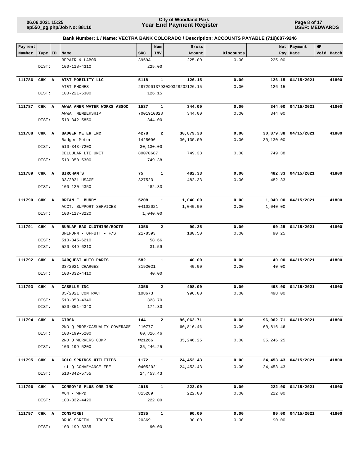**Page 8 of 17 USER: MEDWARDS**

| Payment      |         |                              |             | Num            | Gross                      |           |             | Net   Payment        | HP |            |
|--------------|---------|------------------------------|-------------|----------------|----------------------------|-----------|-------------|----------------------|----|------------|
| Number       | Type ID | Name                         | SRC         | INV            | Amount                     | Discounts |             | Pay Date             |    | Void Batch |
|              |         | REPAIR & LABOR               | 3959A       |                | 225.00                     | 0.00      | 225.00      |                      |    |            |
|              | DIST:   | 100-118-4310                 |             | 225.00         |                            |           |             |                      |    |            |
|              |         |                              |             |                |                            |           |             |                      |    |            |
| 111786       | CHK A   | AT&T MOBILITY LLC            | 5118        | $\mathbf{1}$   | 126.15                     | 0.00      |             | 126.15 04/15/2021    |    | 41800      |
|              |         | AT&T PHONES                  |             |                | 287290137930XO328202126.15 | 0.00      | 126.15      |                      |    |            |
|              | DIST:   | $100 - 221 - 5300$           |             | 126.15         |                            |           |             |                      |    |            |
|              |         |                              |             |                |                            |           |             |                      |    |            |
| 111787       | CHK A   | AWWA AMER WATER WORKS ASSOC  | 1537        | 1              | 344.00                     | 0.00      |             | 344.00 04/15/2021    |    | 41800      |
|              |         | AWWA MEMBERSHIP              | 7001910028  |                | 344.00                     | 0.00      | 344.00      |                      |    |            |
|              | DIST:   | 510-342-5850                 |             | 344.00         |                            |           |             |                      |    |            |
|              |         |                              |             |                |                            |           |             |                      |    |            |
| 111788       | CHK A   | <b>BADGER METER INC</b>      | 4278        | $\overline{a}$ | 30,879.38                  | 0.00      |             | 30,879.38 04/15/2021 |    | 41800      |
|              |         | Badger Meter                 | 1425096     |                | 30,130.00                  | 0.00      | 30,130.00   |                      |    |            |
|              | DIST:   | 510-343-7200                 | 30,130.00   |                |                            |           |             |                      |    |            |
|              |         | CELLULAR LTE UNIT            | 80070687    |                | 749.38                     | 0.00      | 749.38      |                      |    |            |
|              | DIST:   | 510-350-5300                 |             | 749.38         |                            |           |             |                      |    |            |
|              |         |                              |             |                |                            |           |             |                      |    |            |
| 111789       | CHK A   | BIRCHAM'S                    | 75          | $\mathbf{1}$   | 482.33                     | 0.00      |             | 482.33 04/15/2021    |    | 41800      |
|              |         | 03/2021 USAGE                | 327523      |                | 482.33                     | 0.00      | 482.33      |                      |    |            |
|              | DIST:   | 100-120-4350                 |             | 482.33         |                            |           |             |                      |    |            |
|              |         |                              |             |                |                            |           |             |                      |    |            |
| 111790       | CHK A   | BRIAN E. BUNDY               | 5208        | 1              | 1,040.00                   | 0.00      |             | 1,040.00 04/15/2021  |    | 41800      |
|              |         | ACCT. SUPPORT SERVICES       | 04102021    |                | 1,040.00                   | 0.00      | 1,040.00    |                      |    |            |
|              | DIST:   | 100-117-3220                 |             | 1,040.00       |                            |           |             |                      |    |            |
| 111791       | CHK A   | BURLAP BAG CLOTHING/BOOTS    | 1356        | $\mathbf{2}$   | 90.25                      | 0.00      |             | 90.25 04/15/2021     |    | 41800      |
|              |         | UNIFORM - OFFUTT - F/S       | $21 - 8593$ |                | 180.50                     | 0.00      | 90.25       |                      |    |            |
|              | DIST:   | 510-345-6210                 |             | 58.66          |                            |           |             |                      |    |            |
|              | DIST:   | 520-349-6210                 |             | 31.59          |                            |           |             |                      |    |            |
|              |         |                              |             |                |                            |           |             |                      |    |            |
| 111792       | CHK A   | CARQUEST AUTO PARTS          | 582         | 1              | 40.00                      | 0.00      |             | 40.00 04/15/2021     |    | 41800      |
|              |         | 03/2021 CHARGES              | 3192021     |                | 40.00                      | 0.00      | 40.00       |                      |    |            |
|              | DIST:   | 100-332-4410                 |             | 40.00          |                            |           |             |                      |    |            |
|              |         |                              |             |                |                            |           |             |                      |    |            |
| 111793       | CHK A   | CASELLE INC                  | 2356        | $\mathbf{2}$   | 498.00                     | 0.00      |             | 498.00 04/15/2021    |    | 41800      |
|              |         | 05/2021 CONTRACT             | 108673      |                | 996.00                     | 0.00      | 498.00      |                      |    |            |
|              | DIST:   | $510 - 350 - 4340$           |             | 323.70         |                            |           |             |                      |    |            |
|              | DIST:   | $520 - 351 - 4340$           |             | 174.30         |                            |           |             |                      |    |            |
|              |         |                              |             |                |                            |           |             |                      |    |            |
| 111794 CHK A |         | <b>CIRSA</b>                 | 144         | $\mathbf{2}$   | 96,062.71                  | 0.00      |             | 96,062.71 04/15/2021 |    | 41800      |
|              |         | 2ND Q PROP/CASUALTY COVERAGE | 210777      |                | 60,816.46                  | 0.00      | 60,816.46   |                      |    |            |
|              | DIST:   | 100-199-5200                 | 60,816.46   |                |                            |           |             |                      |    |            |
|              |         | 2ND Q WORKERS COMP           | W21266      |                | 35, 246.25                 | 0.00      | 35, 246. 25 |                      |    |            |
|              | DIST:   | 100-199-5200                 | 35, 246. 25 |                |                            |           |             |                      |    |            |
|              |         |                              |             |                |                            |           |             |                      |    |            |
| 111795 CHK A |         | COLO SPRINGS UTILITIES       | 1172        | $\mathbf{1}$   | 24,453.43                  | 0.00      |             | 24,453.43 04/15/2021 |    | 41800      |
|              |         | 1st Q CONVEYANCE FEE         | 04052021    |                | 24, 453.43                 | 0.00      | 24, 453. 43 |                      |    |            |
|              | DIST:   | 510-342-5755                 | 24, 453. 43 |                |                            |           |             |                      |    |            |
|              |         |                              |             |                |                            |           |             |                      |    |            |
| 111796       | CHK A   | CONROY'S PLUS ONE INC        | 4918        | $\mathbf{1}$   | 222.00                     | 0.00      | 222.00      | 04/15/2021           |    | 41800      |
|              |         | #64 - WPPD                   | 815289      |                | 222.00                     | 0.00      | 222.00      |                      |    |            |
|              | DIST:   | 100-332-4420                 |             | 222.00         |                            |           |             |                      |    |            |
| 111797 CHK A |         | CONSPIRE!                    | 3235        | $\mathbf{1}$   | 90.00                      | 0.00      |             | 90.00 04/15/2021     |    | 41800      |
|              |         | DRUG SCREEN - TROEGER        | 20369       |                | 90.00                      | 0.00      | 90.00       |                      |    |            |
|              | DIST:   | 100-199-3335                 |             | 90.00          |                            |           |             |                      |    |            |
|              |         |                              |             |                |                            |           |             |                      |    |            |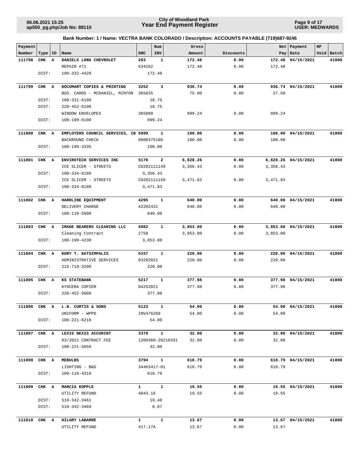**Page 9 of 17 USER: MEDWARDS**

| Payment      |           |                                               |              | Num              | Gross    |           |          | Net   Payment       | HP |            |
|--------------|-----------|-----------------------------------------------|--------------|------------------|----------|-----------|----------|---------------------|----|------------|
| Number       | Type   ID | Name                                          | SRC          | INV              | Amount   | Discounts |          | Pay   Date          |    | Void Batch |
| 111798       | CHK A     | DANIELS LONG CHEVROLET                        | 203          | 1                | 172.48   | 0.00      | 172.48   | 04/15/2021          |    | 41800      |
|              |           | REPAIR #71                                    | 634162       |                  | 172.48   | 0.00      | 172.48   |                     |    |            |
|              | DIST:     | $100 - 332 - 4420$                            |              | 172.48           |          |           |          |                     |    |            |
|              |           |                                               |              |                  |          |           |          |                     |    |            |
| 111799       | CHK A     | DOCUMART COPIES & PRINTING                    | 3252         | 3                | 936.74   | 0.00      |          | 936.74 04/15/2021   |    | 41800      |
|              |           |                                               | 365835       |                  | 75.00    | 0.00      | 37.50    |                     |    |            |
|              | DIST:     | BUS. CARDS - MCDANIEL, MINTON<br>100-331-6100 |              | 18.75            |          |           |          |                     |    |            |
|              |           |                                               |              |                  |          |           |          |                     |    |            |
|              | DIST:     | 220-452-6100                                  |              | 18.75            |          |           |          |                     |    |            |
|              |           | WINDOW ENVELOPES                              | 365890       |                  | 899.24   | 0.00      | 899.24   |                     |    |            |
|              | DIST:     | 100-199-6100                                  |              | 899.24           |          |           |          |                     |    |            |
| 111800       | CHK A     | EMPLOYERS COUNCIL SERVICES, IN 5099           |              | 1                | 100.00   | 0.00      |          | 100.00 04/15/2021   |    | 41800      |
|              |           |                                               |              |                  |          |           |          |                     |    |            |
|              |           | BACKROUND CHECK                               |              | 0000375180       | 100.00   | 0.00      | 100.00   |                     |    |            |
|              | DIST:     | 100-199-3335                                  |              | 100.00           |          |           |          |                     |    |            |
| 111801       | CHK A     | ENVIROTECH SERVICES INC                       | 5170         | $\mathbf{2}$     | 6,828.26 | 0.00      |          | 6,828.26 04/15/2021 |    | 41800      |
|              |           | ICE SLICER - STREETS                          |              | CD202111149      | 3,356.43 | 0.00      | 3,356.43 |                     |    |            |
|              | DIST:     | $100 - 334 - 6180$                            |              |                  |          |           |          |                     |    |            |
|              |           |                                               |              | 3,356.43         |          |           |          |                     |    |            |
|              |           | ICE SLICER - STREETS                          |              | CD202111150      | 3,471.83 | 0.00      | 3,471.83 |                     |    |            |
|              | DIST:     | 100-334-6180                                  |              | 3,471.83         |          |           |          |                     |    |            |
| 111802       | CHK A     | HARDLINE EQUIPMENT                            | 4295         | $\mathbf{1}$     | 640.00   | 0.00      |          | 640.00 04/15/2021   |    | 41800      |
|              |           | DELIVERY CHARGE                               | 42202431     |                  | 640.00   | 0.00      | 640.00   |                     |    |            |
|              |           |                                               |              |                  |          |           |          |                     |    |            |
|              | DIST:     | 100-118-5600                                  |              | 640.00           |          |           |          |                     |    |            |
| 111803       | CHK A     | IMAGE BEARERS CLEANING LLC                    | 5082         | $\mathbf{1}$     | 3,853.00 | 0.00      |          | 3,853.00 04/15/2021 |    | 41800      |
|              |           | Cleaning Contract                             | 2758         |                  | 3,853.00 | 0.00      | 3,853.00 |                     |    |            |
|              | DIST:     | 100-199-4230                                  |              | 3,853.00         |          |           |          |                     |    |            |
|              |           |                                               |              |                  |          |           |          |                     |    |            |
| 111804       | CHK A     | KORY T. KATSIMPALIS                           | 5157         | $\mathbf{1}$     | 220.00   | 0.00      | 220.00   | 04/15/2021          |    | 41800      |
|              |           | ADMINISTRATIVE SERVICES                       | 03292021     |                  | 220.00   | 0.00      | 220.00   |                     |    |            |
|              | DIST:     | $215 - 710 - 3200$                            |              | 220.00           |          |           |          |                     |    |            |
|              |           |                                               |              |                  |          |           |          |                     |    |            |
| 111805       | CHK A     | KS STATEBANK                                  | 5217         | $\mathbf{1}$     | 377.98   | 0.00      |          | 377.98 04/15/2021   |    | 41800      |
|              |           | KYOCERA COPIER                                | 04252021     |                  | 377.98   | 0.00      | 377.98   |                     |    |            |
|              | DIST:     | $220 - 452 - 5000$                            |              | 377.98           |          |           |          |                     |    |            |
|              |           |                                               |              |                  |          |           |          |                     |    |            |
| 111806 CHK A |           | L.N. CURTIS & SONS                            |              | 5123 1           | 54.00    | 0.00      |          | 54.00 04/15/2021    |    | 41800      |
|              |           | UNIFORM - WPPD                                |              | INV476269        | 54.00    | 0.00      | 54.00    |                     |    |            |
|              | DIST:     | 100-221-6210                                  |              | 54.00            |          |           |          |                     |    |            |
|              |           |                                               |              |                  |          |           |          |                     |    |            |
| 111807 CHK A |           | LEXIS NEXIS ACCURINT                          | 3379         | $\mathbf{1}$     | 32.00    | 0.00      |          | 32.00 04/15/2021    |    | 41800      |
|              |           | 03/2021 CONTRACT FEE                          |              |                  | 32.00    | 0.00      | 32.00    |                     |    |            |
|              |           |                                               |              | 1209360-20210331 |          |           |          |                     |    |            |
|              | DIST:     | 100-221-5850                                  |              | 32.00            |          |           |          |                     |    |            |
| 111808 CHK A |           | MEBULBS                                       |              | 3794 1           | 618.79   | 0.00      |          | 618.79 04/15/2021   |    | 41800      |
|              |           | LIGHTING - B&G                                |              | 34463417-01      | 618.79   | 0.00      | 618.79   |                     |    |            |
|              |           | 100-118-4310                                  |              | 618.79           |          |           |          |                     |    |            |
|              | DIST:     |                                               |              |                  |          |           |          |                     |    |            |
| 111809       | CHK A     | MARCIA KOPPLE                                 | $\mathbf{1}$ | $\mathbf{1}$     | 19.55    | 0.00      |          | 19.55 04/15/2021    |    | 41800      |
|              |           | UTILITY REFUND                                | 4043.16      |                  | 19.55    | 0.00      | 19.55    |                     |    |            |
|              | DIST:     | 510-342-3461                                  |              | 19.48            |          |           |          |                     |    |            |
|              |           |                                               |              | 0.07             |          |           |          |                     |    |            |
|              | DIST:     | 510-342-3469                                  |              |                  |          |           |          |                     |    |            |
| 111810 CHK A |           | HILARY LABARRE                                | $\mathbf{1}$ | $\mathbf{1}$     | 13.67    | 0.00      |          | 13.67 04/15/2021    |    | 41800      |
|              |           | UTILITY REFUND                                | 417.17A      |                  | 13.67    | 0.00      | 13.67    |                     |    |            |
|              |           |                                               |              |                  |          |           |          |                     |    |            |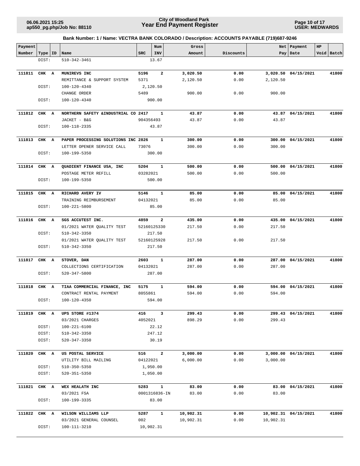**Page 10 of 17 USER: MEDWARDS**

| Payment |       |          |                                      |            | Num           | Gross     |           | Net       | Payment              | HP |            |
|---------|-------|----------|--------------------------------------|------------|---------------|-----------|-----------|-----------|----------------------|----|------------|
| Number  | Type  | ID       | Name                                 | <b>SRC</b> | INV           | Amount    | Discounts |           | Pay   Date           |    | Void Batch |
|         | DIST: |          | $510 - 342 - 3461$                   |            | 13.67         |           |           |           |                      |    |            |
|         |       |          |                                      |            |               |           |           |           |                      |    |            |
| 111811  | CHK A |          | MUNIREVS INC                         | 5196       | $\mathbf{2}$  | 3,020.50  | 0.00      |           | 3,020.50 04/15/2021  |    | 41800      |
|         |       |          | REMITTANCE & SUPPORT SYSTEM          | 5371       |               | 2,120.50  | 0.00      | 2,120.50  |                      |    |            |
|         | DIST: |          | 100-120-4340                         |            | 2,120.50      |           |           |           |                      |    |            |
|         |       |          | CHANGE ORDER                         | 5489       |               | 900.00    | 0.00      | 900.00    |                      |    |            |
|         | DIST: |          | 100-120-4340                         |            | 900.00        |           |           |           |                      |    |            |
|         |       |          |                                      |            |               |           |           |           |                      |    |            |
| 111812  | CHK A |          | NORTHERN SAFETY & INDUSTRIAL CO 2417 |            | 1             | 43.87     | 0.00      |           | 43.87 04/15/2021     |    | 41800      |
|         |       |          | JACKET - B&G                         | 904356493  |               | 43.87     | 0.00      | 43.87     |                      |    |            |
|         | DIST: |          | 100-118-2335                         |            | 43.87         |           |           |           |                      |    |            |
| 111813  | CHK A |          | PAPER PROCESSING SOLUTIONS INC 2826  |            | 1             | 300.00    | 0.00      |           | 300.00 04/15/2021    |    | 41800      |
|         |       |          | LETTER OPENER SERVICE CALL           | 73076      |               | 300.00    | 0.00      | 300.00    |                      |    |            |
|         | DIST: |          | 100-199-5350                         |            | 300.00        |           |           |           |                      |    |            |
|         |       |          |                                      |            |               |           |           |           |                      |    |            |
| 111814  | CHK A |          | QUADIENT FINANCE USA, INC            | 5204       | $\mathbf{1}$  | 500.00    | 0.00      |           | 500.00 04/15/2021    |    | 41800      |
|         |       |          | POSTAGE METER REFILL                 | 03282021   |               | 500.00    | 0.00      | 500.00    |                      |    |            |
|         | DIST: |          | 100-199-5350                         |            | 500.00        |           |           |           |                      |    |            |
|         |       |          |                                      |            |               |           |           |           |                      |    |            |
| 111815  | CHK A |          | RICHARD AVERY IV                     | 5146       | 1             | 85.00     | 0.00      | 85.00     | 04/15/2021           |    | 41800      |
|         |       |          | TRAINING REIMBURSEMENT               | 04132021   |               | 85.00     | 0.00      | 85.00     |                      |    |            |
|         | DIST: |          | 100-221-5800                         |            | 85.00         |           |           |           |                      |    |            |
| 111816  | CHK   | <b>A</b> | SGS ACCUTEST INC.                    | 4859       | $\mathbf{2}$  | 435.00    | 0.00      | 435.00    | 04/15/2021           |    | 41800      |
|         |       |          | 01/2021 WATER QUALITY TEST           |            | 52160125330   | 217.50    | 0.00      | 217.50    |                      |    |            |
|         | DIST: |          | 510-342-3350                         |            | 217.50        |           |           |           |                      |    |            |
|         |       |          | 01/2021 WATER QUALITY TEST           |            | 52160125928   | 217.50    | 0.00      | 217.50    |                      |    |            |
|         | DIST: |          | 510-342-3350                         |            | 217.50        |           |           |           |                      |    |            |
|         |       |          |                                      |            |               |           |           |           |                      |    |            |
| 111817  | CHK A |          | STOVER, DAN                          | 2603       | $\mathbf{1}$  | 287.00    | 0.00      | 287.00    | 04/15/2021           |    | 41800      |
|         |       |          | COLLECTIONS CERTIFICATION            | 04132021   |               | 287.00    | 0.00      | 287.00    |                      |    |            |
|         | DIST: |          | 520-347-5800                         |            | 287.00        |           |           |           |                      |    |            |
|         |       |          |                                      |            | 1             |           |           |           |                      |    | 41800      |
| 111818  | CHK A |          | TIAA COMMERCIAL FINANCE, INC         | 5175       |               | 594.00    | 0.00      |           | 594.00 04/15/2021    |    |            |
|         |       |          | CONTRACT RENTAL PAYMENT              | 8055861    |               | 594.00    | 0.00      | 594.00    |                      |    |            |
|         | DIST: |          | 100-120-4350                         |            | 594.00        |           |           |           |                      |    |            |
| 111819  | CHK A |          | UPS STORE #1374                      | 416        | 3             | 299.43    | 0.00      |           | 299.43 04/15/2021    |    | 41800      |
|         |       |          | 03/2021 CHARGES                      | 4052021    |               | 898.29    | 0.00      | 299.43    |                      |    |            |
|         | DIST: |          | 100-221-6100                         |            | 22.12         |           |           |           |                      |    |            |
|         | DIST: |          | 510-342-3350                         |            | 247.12        |           |           |           |                      |    |            |
|         | DIST: |          | 520-347-3350                         |            | 30.19         |           |           |           |                      |    |            |
|         |       |          |                                      |            |               |           |           |           |                      |    |            |
| 111820  | CHK A |          | US POSTAL SERVICE                    | 516        | $\mathbf{2}$  | 3,000.00  | 0.00      |           | 3,000.00 04/15/2021  |    | 41800      |
|         |       |          | UTILITY BILL MAILING                 | 04122021   |               | 6,000.00  | 0.00      | 3,000.00  |                      |    |            |
|         | DIST: |          | $510 - 350 - 5350$                   |            | 1,950.00      |           |           |           |                      |    |            |
|         | DIST: |          | 520-351-5350                         |            | 1,050.00      |           |           |           |                      |    |            |
|         |       |          |                                      |            |               |           |           |           |                      |    |            |
| 111821  | CHK A |          | WEX HEALATH INC                      | 5283       | $\mathbf{1}$  | 83.00     | 0.00      |           | 83.00 04/15/2021     |    | 41800      |
|         |       |          | 03/2021 FSA                          |            | 0001316836-IN | 83.00     | 0.00      | 83.00     |                      |    |            |
|         | DIST: |          | 100-199-3335                         |            | 83.00         |           |           |           |                      |    |            |
| 111822  | CHK A |          | WILSON WILLIAMS LLP                  | 5287       | $\mathbf{1}$  | 10,902.31 | 0.00      |           | 10,902.31 04/15/2021 |    | 41800      |
|         |       |          | 03/2021 GENERAL COUNSEL              | 002        |               | 10,902.31 | 0.00      | 10,902.31 |                      |    |            |
|         | DIST: |          | 100-111-3210                         |            | 10,902.31     |           |           |           |                      |    |            |
|         |       |          |                                      |            |               |           |           |           |                      |    |            |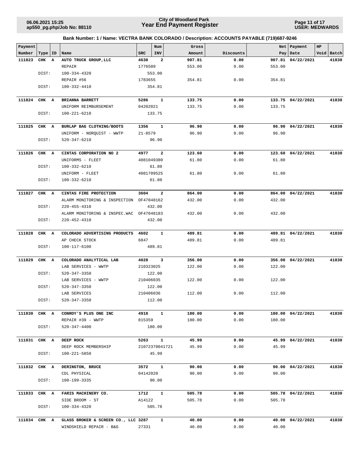**Page 11 of 17 USER: MEDWARDS**

| Payment<br>Number | Type   ID | Name                                     | <b>SRC</b>  | Num<br>INV     | Gross<br>Amount | Discounts |        | Net   Payment<br>Pay   Date | HP<br>Void Batch |
|-------------------|-----------|------------------------------------------|-------------|----------------|-----------------|-----------|--------|-----------------------------|------------------|
| 111823            | CHK A     | AUTO TRUCK GROUP, LLC                    | 4630        | $\overline{a}$ | 907.81          | 0.00      | 907.81 | 04/22/2021                  | 41830            |
|                   |           | REPAIR                                   | 1776509     |                | 553.00          | 0.00      | 553.00 |                             |                  |
|                   | DIST:     | $100 - 334 - 4320$                       |             | 553.00         |                 |           |        |                             |                  |
|                   |           | REPAIR #56                               | 1783655     |                | 354.81          | 0.00      | 354.81 |                             |                  |
|                   | DIST:     | 100-332-4410                             |             | 354.81         |                 |           |        |                             |                  |
|                   |           |                                          |             |                |                 |           |        |                             |                  |
| 111824            | CHK A     | BRIANNA BARRETT                          | 5286        | $\mathbf{1}$   | 133.75          | 0.00      |        | 133.75 04/22/2021           | 41830            |
|                   |           | UNIFORM REIMBURSEMENT                    | 04202021    |                | 133.75          | 0.00      | 133.75 |                             |                  |
|                   | DIST:     | 100-221-6210                             |             | 133.75         |                 |           |        |                             |                  |
| 111825            | CHK A     | BURLAP BAG CLOTHING/BOOTS                | 1356        | 1              | 96.90           | 0.00      |        | 96.90 04/22/2021            | 41830            |
|                   |           | UNIFORM - NORQUIST - WWTP                | $21 - 8579$ |                | 96.90           | 0.00      | 96.90  |                             |                  |
|                   | DIST:     | 520-347-6210                             |             | 96.90          |                 |           |        |                             |                  |
|                   |           |                                          |             |                |                 |           |        |                             |                  |
| 111826            | CHK A     | CINTAS CORPORATION NO 2                  | 4977        | $\mathbf{2}$   | 123.60          | 0.00      |        | 123.60 04/22/2021           | 41830            |
|                   |           | UNIFORMS - FLEET                         | 4081049380  |                | 61.80           | 0.00      | 61.80  |                             |                  |
|                   | DIST:     | 100-332-6210                             |             | 61.80          |                 |           |        |                             |                  |
|                   |           | UNIFORM - FLEET                          | 4081709525  |                | 61.80           | 0.00      | 61.80  |                             |                  |
|                   | DIST:     | 100-332-6210                             |             | 61.80          |                 |           |        |                             |                  |
| 111827            | CHK A     | CINTAS FIRE PROTECTION                   | 3604        | $\overline{2}$ | 864.00          | 0.00      |        | 864.00 04/22/2021           | 41830            |
|                   |           | ALARM MONITORING & INSPECTION OF47048162 |             |                | 432.00          | 0.00      | 432.00 |                             |                  |
|                   | DIST:     | $220 - 455 - 4310$                       |             | 432.00         |                 |           |        |                             |                  |
|                   |           | ALARM MONITORING & INSPEC.WAC            | OF47048183  |                | 432.00          | 0.00      | 432.00 |                             |                  |
|                   | DIST:     | $220 - 452 - 4310$                       |             | 432.00         |                 |           |        |                             |                  |
|                   |           |                                          |             |                |                 |           |        |                             |                  |
| 111828            | CHK A     | COLORADO ADVERTISING PRODUCTS            | 4602        | $\mathbf{1}$   | 489.81          | 0.00      |        | 489.81 04/22/2021           | 41830            |
|                   |           | AP CHECK STOCK                           | 6847        |                | 489.81          | 0.00      | 489.81 |                             |                  |
|                   | DIST:     | 100-117-6100                             |             | 489.81         |                 |           |        |                             |                  |
| 111829            | CHK A     | COLORADO ANALYTICAL LAB                  | 4028        | 3              | 356.00          | 0.00      | 356.00 | 04/22/2021                  | 41830            |
|                   |           | LAB SERVICES - WWTP                      | 210323025   |                | 122.00          | 0.00      | 122.00 |                             |                  |
|                   | DIST:     | $520 - 347 - 3350$                       |             | 122.00         |                 |           |        |                             |                  |
|                   |           | LAB SERVICES - WWTP                      | 210406035   |                | 122.00          | 0.00      | 122.00 |                             |                  |
|                   | DIST:     | $520 - 347 - 3350$                       |             | 122.00         |                 |           |        |                             |                  |
|                   |           | LAB SERVICES                             | 210406036   |                | 112.00          | 0.00      | 112.00 |                             |                  |
|                   | DIST:     | $520 - 347 - 3350$                       |             | 112.00         |                 |           |        |                             |                  |
|                   |           |                                          |             |                |                 |           |        |                             |                  |
| 111830 CHK A      |           | CONROY'S PLUS ONE INC                    | 4918        | $\mathbf{1}$   | 180.00          | 0.00      |        | 180.00 04/22/2021           | 41830            |
|                   |           | REPAIR #39 - WWTP                        | 815359      |                | 180.00          | 0.00      | 180.00 |                             |                  |
|                   | DIST:     | 520-347-4400                             |             | 180.00         |                 |           |        |                             |                  |
| 111831 CHK A      |           | DEEP ROCK                                | 5263        | $\mathbf{1}$   | 45.99           | 0.00      |        | 45.99 04/22/2021            | 41830            |
|                   |           | DEEP ROCK MEMBERSHIP                     |             | 21072370041721 | 45.99           | 0.00      | 45.99  |                             |                  |
|                   | DIST:     | 100-221-5850                             |             | 45.99          |                 |           |        |                             |                  |
|                   |           |                                          |             |                |                 |           |        |                             |                  |
| 111832 CHK A      |           | DERINGTON, BRUCE                         | 3572        | $\mathbf{1}$   | 90.00           | 0.00      |        | 90.00 04/22/2021            | 41830            |
|                   |           | CDL PHYSICAL                             | 04142020    |                | 90.00           | 0.00      | 90.00  |                             |                  |
|                   | DIST:     | 100-199-3335                             |             | 90.00          |                 |           |        |                             |                  |
|                   |           | FARIS MACHINERY CO.                      | 1712        | $\mathbf{1}$   | 505.78          | 0.00      |        | 505.78 04/22/2021           |                  |
| 111833 CHK A      |           | SIDE BROOM - ST                          | A14122      |                | 505.78          | 0.00      | 505.78 |                             | 41830            |
|                   | DIST:     | 100-334-4320                             |             | 505.78         |                 |           |        |                             |                  |
|                   |           |                                          |             |                |                 |           |        |                             |                  |
| 111834 CHK A      |           | GLASS BROKER & SCREEN CO., LLC 3287      |             | 1              | 40.00           | 0.00      |        | 40.00 04/22/2021            | 41830            |
|                   |           | WINDSHIELD REPAIR - B&G                  | 27331       |                | 40.00           | 0.00      | 40.00  |                             |                  |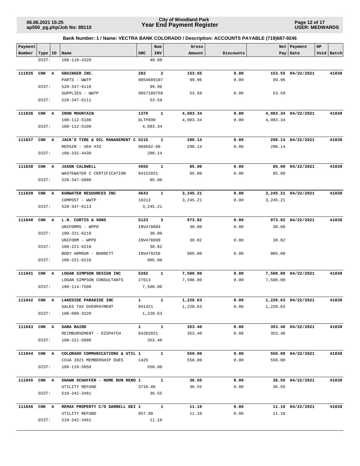**Page 12 of 17 USER: MEDWARDS**

| Payment      |           |                                     |            | Num          | Gross    |           |          | Net   Payment       | HP |            |
|--------------|-----------|-------------------------------------|------------|--------------|----------|-----------|----------|---------------------|----|------------|
| Number       | Type   ID | Name                                | <b>SRC</b> | INV          | Amount   | Discounts |          | Pay   Date          |    | Void Batch |
|              | DIST:     | 100-118-4320                        |            | 40.00        |          |           |          |                     |    |            |
|              |           |                                     |            |              |          |           |          |                     |    |            |
| 111835       | CHK A     | GRAINGER INC.                       | 282        | $\mathbf{2}$ | 153.55   | 0.00      |          | 153.55 04/22/2021   |    | 41830      |
|              |           | PARTS - WWTP                        |            | 9854689107   | 99.96    | 0.00      | 99.96    |                     |    |            |
|              | DIST:     | 520-347-6110                        |            | 99.96        |          |           |          |                     |    |            |
|              |           | SUPPLIES - WWTP                     |            | 9857189758   | 53.59    | 0.00      | 53.59    |                     |    |            |
|              | DIST:     | 520-347-6111                        |            | 53.59        |          |           |          |                     |    |            |
|              |           |                                     |            |              |          |           |          |                     |    |            |
| 111836       | CHK A     | IRON MOUNTAIN                       | 1376       | 1            | 4,083.34 | 0.00      |          | 4,083.34 04/22/2021 |    | 41830      |
|              |           | 100-112-5100                        | DLTP890    |              | 4,083.34 | 0.00      | 4,083.34 |                     |    |            |
|              | DIST:     | 100-112-5100                        |            | 4,083.34     |          |           |          |                     |    |            |
|              |           |                                     |            |              |          |           |          |                     |    |            |
| 111837       | CHK A     | JACK'S TIRE & OIL MANAGEMENT C 5215 |            | 1            | 290.14   | 0.00      |          | 290.14 04/22/2021   |    | 41830      |
|              |           | REPAIR - VEH #33                    | 966692-88  |              | 290.14   | 0.00      | 290.14   |                     |    |            |
|              | DIST:     | 100-332-4430                        |            | 290.14       |          |           |          |                     |    |            |
|              |           |                                     |            |              |          |           |          |                     |    |            |
| 111838       | CHK A     | <b>JASON CALDWELL</b>               | 4955       | $\mathbf{1}$ | 85.00    | 0.00      |          | 85.00 04/22/2021    |    | 41830      |
|              |           | WASTEWATER C CERTIFICATION          | 04152021   |              | 85.00    | 0.00      | 85.00    |                     |    |            |
|              |           | $520 - 347 - 5800$                  |            | 85.00        |          |           |          |                     |    |            |
|              | DIST:     |                                     |            |              |          |           |          |                     |    |            |
| 111839       |           | KUBWATER RESOURCES INC              | 4643       | $\mathbf{1}$ |          |           |          | 3,245.21 04/22/2021 |    | 41830      |
|              | CHK A     |                                     |            |              | 3,245.21 | 0.00      |          |                     |    |            |
|              |           | COMPOST - WWTP                      | 10213      |              | 3,245.21 | 0.00      | 3,245.21 |                     |    |            |
|              | DIST:     | 520-347-6113                        |            | 3,245.21     |          |           |          |                     |    |            |
|              |           |                                     |            |              |          |           |          |                     |    |            |
| 111840       | CHK A     | L.N. CURTIS & SONS                  | 5123       | 3            | 973.82   | 0.00      |          | 973.82 04/22/2021   |    | 41830      |
|              |           | UNIFORMS - WPPD                     | INV478884  |              | 30.00    | 0.00      | 30.00    |                     |    |            |
|              | DIST:     | 100-221-6210                        |            | 30.00        |          |           |          |                     |    |            |
|              |           | UNIFORM - WPPD                      | INV478899  |              | 38.82    | 0.00      | 38.82    |                     |    |            |
|              | DIST:     | 100-221-6210                        |            | 38.82        |          |           |          |                     |    |            |
|              |           | BODY ARMOUR - BARRETT               | INV479256  |              | 905.00   | 0.00      | 905.00   |                     |    |            |
|              | DIST:     | 100-221-6210                        |            | 905.00       |          |           |          |                     |    |            |
|              |           |                                     |            |              |          |           |          |                     |    |            |
| 111841 CHK A |           | LOGAN SIMPSON DESIGN INC            | 5282       | 1            | 7,500.00 | 0.00      |          | 7,500.00 04/22/2021 |    | 41830      |
|              |           | LOGAN SIMPSON CONSULTANTS           | 27613      |              | 7,500.00 | 0.00      | 7,500.00 |                     |    |            |
|              | DIST:     | 100-114-7500                        |            | 7,500.00     |          |           |          |                     |    |            |
|              |           |                                     |            |              |          |           |          |                     |    |            |
| 111842 CHK A |           | LAKESIDE PARADISE INC               | 1          | $\mathbf{1}$ | 1,220.63 | 0.00      |          | 1,220.63 04/22/2021 |    | 41830      |
|              |           | SALES TAX OVERPAYMENT               | 041421     |              | 1,220.63 | 0.00      | 1,220.63 |                     |    |            |
|              | DIST:     | 100-000-3220                        |            | 1,220.63     |          |           |          |                     |    |            |
|              |           |                                     |            |              |          |           |          |                     |    |            |
| 111843 CHK A |           | <b>SARA BAIRD</b>                   |            | $1 \quad 1$  | 353.40   | 0.00      |          | 353.40 04/22/2021   |    | 41830      |
|              |           | REIMBURSEMENT - DISPATCH 04202021   |            |              | 353.40   | 0.00      | 353.40   |                     |    |            |
|              | DIST:     | 100-221-5800                        |            | 353.40       |          |           |          |                     |    |            |
|              |           |                                     |            |              |          |           |          |                     |    |            |
| 111844 CHK A |           | COLORADO COMMUNICATIONS & UTIL 1 1  |            |              | 550.00   | 0.00      |          | 550.00 04/22/2021   |    | 41830      |
|              |           | CCUA 2021 MEMBERSHIP DUES           | 1425       |              | 550.00   | 0.00      | 550.00   |                     |    |            |
|              | DIST:     | 100-110-5850                        |            | 550.00       |          |           |          |                     |    |            |
|              |           |                                     |            |              |          |           |          |                     |    |            |
| 111845 CHK A |           | SHAWN SCHAFFER - HOME RUN RENO 1    |            | $\mathbf{1}$ | 36.55    | 0.00      |          | 36.55 04/22/2021    |    | 41830      |
|              |           | UTILITY REFUND                      | 3710.06    |              | 36.55    | 0.00      | 36.55    |                     |    |            |
|              | DIST:     | 510-342-3461                        |            | 36.55        |          |           |          |                     |    |            |
|              |           |                                     |            |              |          |           |          |                     |    |            |
| 111846 CHK A |           | REMAX PROPERTY C/O DARRELL DEI 1 1  |            |              | 11.10    | 0.00      |          | 11.10 04/22/2021    |    | 41830      |
|              |           | UTILITY REFUND                      | 857.08     |              | 11.10    | 0.00      | 11.10    |                     |    |            |
|              | DIST:     | 510-342-3461                        |            | 11.10        |          |           |          |                     |    |            |
|              |           |                                     |            |              |          |           |          |                     |    |            |
|              |           |                                     |            |              |          |           |          |                     |    |            |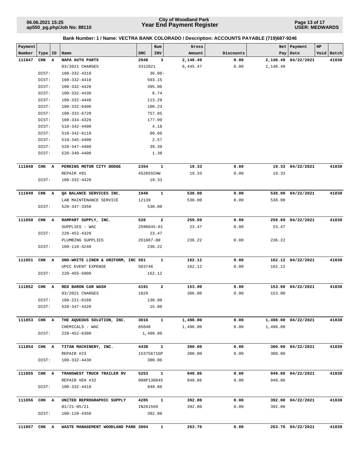**Page 13 of 17 USER: MEDWARDS**

| Payment      |           |   |                                     |            | Num          | Gross    |           |          | Net   Payment       | HP |            |
|--------------|-----------|---|-------------------------------------|------------|--------------|----------|-----------|----------|---------------------|----|------------|
| Number       | Type   ID |   | Name                                | <b>SRC</b> | INV          | Amount   | Discounts |          | Pay   Date          |    | Void Batch |
| 111847       | CHK       | A | NAPA AUTO PARTS                     | 2048       | 3            | 2,148.49 | 0.00      |          | 2,148.49 04/22/2021 |    | 41830      |
|              |           |   | 03/2021 CHARGES                     | 3312021    |              | 6,445.47 | 0.00      | 2,148.49 |                     |    |            |
|              | DIST:     |   | 100-332-4310                        |            | $36.00 -$    |          |           |          |                     |    |            |
|              | DIST:     |   | 100-332-4410                        |            | 503.15       |          |           |          |                     |    |            |
|              | DIST:     |   | 100-332-4420                        |            | 395.06       |          |           |          |                     |    |            |
|              | DIST:     |   | 100-332-4430                        |            | 8.74         |          |           |          |                     |    |            |
|              | DIST:     |   | 100-332-4440                        |            | 113.29       |          |           |          |                     |    |            |
|              | DIST:     |   | $100 - 332 - 6400$                  |            | 100.23       |          |           |          |                     |    |            |
|              | DIST:     |   | 100-332-6720                        |            | 757.85       |          |           |          |                     |    |            |
|              | DIST:     |   | 100-334-4320                        |            | 177.99       |          |           |          |                     |    |            |
|              | DIST:     |   | $510 - 342 - 4400$                  |            | 4.18         |          |           |          |                     |    |            |
|              | DIST:     |   | 510-342-6110                        |            | 80.66        |          |           |          |                     |    |            |
|              | DIST:     |   | $510 - 345 - 4400$                  |            | 2.57         |          |           |          |                     |    |            |
|              | DIST:     |   | 520-347-4400                        |            | 39.39        |          |           |          |                     |    |            |
|              | DIST:     |   | $520 - 349 - 4400$                  |            | 1.38         |          |           |          |                     |    |            |
|              |           |   |                                     |            |              |          |           |          |                     |    |            |
| 111848       | CHK A     |   | PERKINS MOTOR CITY DODGE            | 2354       | $\mathbf{1}$ | 19.33    | 0.00      |          | 19.33 04/22/2021    |    | 41830      |
|              |           |   | REPAIR #91                          | 452855CHW  |              | 19.33    | 0.00      | 19.33    |                     |    |            |
|              | DIST:     |   | 100-332-4420                        |            | 19.33        |          |           |          |                     |    |            |
|              |           |   |                                     |            |              |          |           |          |                     |    |            |
| 111849       | CHK A     |   | QA BALANCE SERVICES INC.            | 1948       | 1            | 538.00   | 0.00      |          | 538.00 04/22/2021   |    | 41830      |
|              |           |   | LAB MAINTENANCE SERVICE             | 12139      |              | 538.00   | 0.00      | 538.00   |                     |    |            |
|              | DIST:     |   | 520-347-3350                        |            | 538.00       |          |           |          |                     |    |            |
|              |           |   |                                     |            |              |          |           |          |                     |    |            |
| 111850       | CHK A     |   | RAMPART SUPPLY, INC.                | 528        | $\mathbf{2}$ | 259.69   | 0.00      |          | 259.69 04/22/2021   |    | 41830      |
|              |           |   | SUPPLIES - WAC                      | 2596645-01 |              | 23.47    | 0.00      | 23.47    |                     |    |            |
|              | DIST:     |   | 220-452-4320                        |            | 23.47        |          |           |          |                     |    |            |
|              |           |   | PLUMBING SUPPLIES                   | 261087-00  |              | 236.22   | 0.00      | 236.22   |                     |    |            |
|              | DIST:     |   | 100-118-4240                        |            | 236.22       |          |           |          |                     |    |            |
|              |           |   |                                     |            |              |          |           |          |                     |    |            |
| 111851       | CHK A     |   | SNO-WHITE LINEN & UNIFORM, INC 581  |            | 1            | 162.12   | 0.00      |          | 162.12 04/22/2021   |    | 41830      |
|              |           |   | UPCC EVENT EXPENSE                  | S63746     |              | 162.12   | 0.00      | 162.12   |                     |    |            |
|              | DIST:     |   | $220 - 455 - 5000$                  |            | 162.12       |          |           |          |                     |    |            |
|              |           |   |                                     |            |              |          |           |          |                     |    |            |
| 111852       | CHK A     |   | RED BARON CAR WASH                  | 4191       | $\mathbf{2}$ | 153.00   | 0.00      |          | 153.00 04/22/2021   |    | 41830      |
|              |           |   | 03/2021 CHARGES                     | 1829       |              | 306.00   | 0.00      | 153.00   |                     |    |            |
|              | DIST:     |   | $100 - 221 - 6160$                  |            | 138.00       |          |           |          |                     |    |            |
|              | DIST:     |   | $520 - 347 - 4320$                  |            | 15.00        |          |           |          |                     |    |            |
|              |           |   |                                     |            |              |          |           |          |                     |    |            |
| 111853 CHK A |           |   | THE AQUEOUS SOLUTION, INC.          | 3016       | $\mathbf{1}$ | 1,498.00 | 0.00      |          | 1,498.00 04/22/2021 |    | 41830      |
|              |           |   | CHEMICALS - WAC                     | 85048      |              | 1,498.00 | 0.00      | 1,498.00 |                     |    |            |
|              | DIST:     |   | $220 - 452 - 6300$                  |            | 1,498.00     |          |           |          |                     |    |            |
|              |           |   |                                     |            |              |          |           |          |                     |    |            |
| 111854       | CHK A     |   | TITAN MACHINERY, INC.               | 4438       | $\mathbf{1}$ | 300.00   | 0.00      |          | 300.00 04/22/2021   |    | 41830      |
|              |           |   | REPAIR #23                          | 15375671GP |              | 300.00   | 0.00      | 300.00   |                     |    |            |
|              | DIST:     |   | 100-332-4430                        |            | 300.00       |          |           |          |                     |    |            |
|              |           |   |                                     |            |              |          |           |          |                     |    |            |
| 111855 CHK A |           |   | TRANSWEST TRUCK TRAILER RV          | 5253       | $\mathbf{1}$ | 949.86   | 0.00      |          | 949.86 04/22/2021   |    | 41830      |
|              |           |   | REPAIR VEH #32                      | 008P130845 |              | 949.86   | 0.00      | 949.86   |                     |    |            |
|              | DIST:     |   | 100-332-4410                        |            | 949.86       |          |           |          |                     |    |            |
|              |           |   |                                     |            |              |          |           |          |                     |    |            |
| 111856       | CHK A     |   | UNITED REPROGRAPHIC SUPPLY          | 4285       | $\mathbf{1}$ | 392.00   | 0.00      |          | 392.00 04/22/2021   |    | 41830      |
|              |           |   | $01/21 - 05/21$                     | IN261569   |              | 392.00   | 0.00      | 392.00   |                     |    |            |
|              | DIST:     |   | 100-120-4350                        |            | 392.00       |          |           |          |                     |    |            |
|              |           |   |                                     |            |              |          |           |          |                     |    |            |
| 111857 CHK A |           |   | WASTE MANAGEMENT WOODLAND PARK 3004 |            | $\mathbf{1}$ | 263.76   | 0.00      |          | 263.76 04/22/2021   |    | 41830      |
|              |           |   |                                     |            |              |          |           |          |                     |    |            |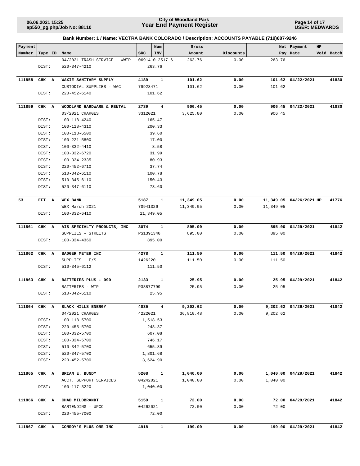**ap550\_pg.php/Job No: 88110**

### **Year End Payment Register City of Woodland Park 06.06.2021 15:25**

**Page 14 of 17 USER: MEDWARDS**

| Payment<br>Number |              |                                      | <b>SRC</b> | Num<br>INV              | Gross<br>Amount | Discounts | Net           | Payment<br>HP           | Void Batch |
|-------------------|--------------|--------------------------------------|------------|-------------------------|-----------------|-----------|---------------|-------------------------|------------|
|                   | Type   ID    | Name<br>04/2021 TRASH SERVICE - WWTP |            | 0691410-2517-6          | 263.76          | 0.00      | Pay<br>263.76 | Date                    |            |
|                   | DIST:        | 520-347-4210                         |            | 263.76                  |                 |           |               |                         |            |
| 111858            | CHK A        | WAXIE SANITARY SUPPLY                | 4189       | 1                       | 101.62          | 0.00      |               | 101.62 04/22/2021       | 41830      |
|                   |              | CUSTODIAL SUPPLIES - WAC             | 79928471   |                         | 101.62          | 0.00      | 101.62        |                         |            |
|                   | DIST:        | $220 - 452 - 6140$                   |            | 101.62                  |                 |           |               |                         |            |
| 111859            | CHK A        | WOODLAND HARDWARE & RENTAL           | 2739       | $\overline{\mathbf{4}}$ | 906.45          | 0.00      |               | 906.45 04/22/2021       | 41830      |
|                   |              | 03/2021 CHARGES                      | 3312021    |                         | 3,625.80        | 0.00      | 906.45        |                         |            |
|                   | DIST:        | 100-118-4240                         |            | 165.47                  |                 |           |               |                         |            |
|                   | DIST:        | 100-118-4310                         |            | 200.33                  |                 |           |               |                         |            |
|                   | DIST:        | 100-118-6500                         |            | 39.60                   |                 |           |               |                         |            |
|                   | DIST:        | 100-221-5800                         |            | 17.00                   |                 |           |               |                         |            |
|                   | DIST:        | 100-332-4410                         |            | 8.58                    |                 |           |               |                         |            |
|                   | DIST:        | 100-332-6720                         |            | 31.99                   |                 |           |               |                         |            |
|                   | DIST:        | 100-334-2335                         |            | 80.93                   |                 |           |               |                         |            |
|                   | DIST:        | 220-452-6710                         |            | 37.74                   |                 |           |               |                         |            |
|                   | DIST:        | 510-342-6110                         |            | 100.78                  |                 |           |               |                         |            |
|                   | DIST:        | $510 - 345 - 6110$                   |            | 150.43                  |                 |           |               |                         |            |
|                   | DIST:        | 520-347-6110                         |            | 73.60                   |                 |           |               |                         |            |
| 53                | EFT A        | WEX BANK                             | 5187       | 1                       | 11,349.05       | 0.00      |               | 11,349.05 04/26/2021 HP | 41776      |
|                   |              | WEX March 2021                       | 70941326   |                         | 11,349.05       | 0.00      | 11,349.05     |                         |            |
|                   | DIST:        | $100 - 332 - 6410$                   |            | 11,349.05               |                 |           |               |                         |            |
| 111861            | CHK A        | AIS SPECIALTY PRODUCTS, INC          | 3074       | 1                       | 895.00          | 0.00      |               | 895.00 04/29/2021       | 41842      |
|                   |              | SUPPLIES - STREETS                   | PS1391340  |                         | 895.00          | 0.00      | 895.00        |                         |            |
|                   | DIST:        | 100-334-4360                         |            | 895.00                  |                 |           |               |                         |            |
| 111862            | CHK A        | <b>BADGER METER INC</b>              | 4278       | 1                       | 111.50          | 0.00      |               | 111.50 04/29/2021       | 41842      |
|                   |              | SUPPLIES $- F/S$                     | 1426220    |                         | 111.50          | 0.00      | 111.50        |                         |            |
|                   | DIST:        | 510-345-6112                         |            | 111.50                  |                 |           |               |                         |            |
| 111863            | CHK A        | BATTERIES PLUS - 090                 | 2133       | 1                       | 25.95           | 0.00      |               | 25.95 04/29/2021        | 41842      |
|                   |              | BATTERIES - WTP                      | P38877799  |                         | 25.95           | 0.00      | 25.95         |                         |            |
|                   | DIST:        | 510-342-6110                         |            | 25.95                   |                 |           |               |                         |            |
|                   | 111864 CHK A | <b>BLACK HILLS ENERGY</b>            | 4035       | 4                       | 9,202.62        | 0.00      |               | 9,202.62 04/29/2021     | 41842      |
|                   |              | 04/2021 CHARGES                      | 4222021    |                         | 36,810.48       | 0.00      | 9,202.62      |                         |            |
|                   | DIST:        | 100-118-5700                         |            | 1,518.53                |                 |           |               |                         |            |
|                   | DIST:        | 220-455-5700                         |            | 248.37                  |                 |           |               |                         |            |
|                   | DIST:        | 100-332-5700                         |            | 607.08                  |                 |           |               |                         |            |
|                   | DIST:        | 100-334-5700                         |            | 746.17                  |                 |           |               |                         |            |
|                   | DIST:        | 510-342-5700                         |            | 655.89                  |                 |           |               |                         |            |
|                   | DIST:        | 520-347-5700                         |            | 1,801.68                |                 |           |               |                         |            |
|                   | DIST:        | 220-452-5700                         |            | 3,624.90                |                 |           |               |                         |            |
| 111865            | CHK A        | BRIAN E. BUNDY                       | 5208       | $\mathbf{1}$            | 1,040.00        | 0.00      |               | 1,040.00 04/29/2021     | 41842      |
|                   |              | ACCT. SUPPORT SERVICES               | 04242021   |                         | 1,040.00        | 0.00      | 1,040.00      |                         |            |
|                   | DIST:        | 100-117-3220                         |            | 1,040.00                |                 |           |               |                         |            |
| 111866            | CHK A        | CHAD MILDBRANDT                      | 5159       | $\mathbf{1}$            | 72.00           | 0.00      | 72.00         | 04/29/2021              | 41842      |
|                   |              | BARTENDING - UPCC                    | 04262021   |                         | 72.00           | 0.00      | 72.00         |                         |            |
|                   | DIST:        | 220-455-7000                         |            | 72.00                   |                 |           |               |                         |            |
|                   | 111867 CHK A | CONROY'S PLUS ONE INC                | 4918       | $\mathbf{1}$            | 199.00          | 0.00      |               | 199.00 04/29/2021       | 41842      |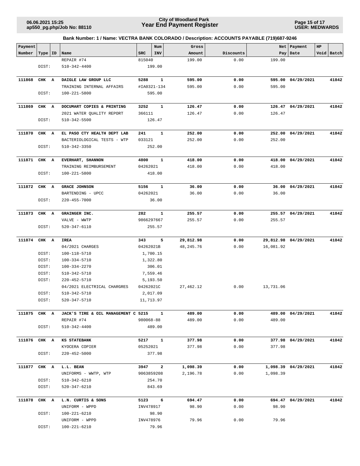**Page 15 of 17 USER: MEDWARDS**

| Payment<br>Number |       |    |                                     | SRC        | Num<br>INV   | Gross            | Discounts    | <b>Net</b> | Payment<br>Pay Date  | HP | Void Batch |
|-------------------|-------|----|-------------------------------------|------------|--------------|------------------|--------------|------------|----------------------|----|------------|
|                   | Type  | ID | Name                                | 815040     |              | Amount<br>199.00 | 0.00         | 199.00     |                      |    |            |
|                   | DIST: |    | REPAIR #74<br>$510 - 342 - 4400$    |            | 199.00       |                  |              |            |                      |    |            |
|                   |       |    |                                     |            |              |                  |              |            |                      |    |            |
| 111868            | CHK A |    | DAIGLE LAW GROUP LLC                | 5288       | 1            | 595.00           | 0.00         |            | 595.00 04/29/2021    |    | 41842      |
|                   |       |    | TRAINING INTERNAL AFFAIRS           |            | #IA0321-134  | 595.00           | 0.00         | 595.00     |                      |    |            |
|                   | DIST: |    | 100-221-5800                        |            | 595.00       |                  |              |            |                      |    |            |
|                   |       |    |                                     |            |              |                  |              |            |                      |    |            |
| 111869            | CHK A |    | DOCUMART COPIES & PRINTING          | 3252       | 1            | 126.47           | 0.00         |            | 126.47 04/29/2021    |    | 41842      |
|                   |       |    | 2021 WATER QUALITY REPORT           | 366111     |              | 126.47           | 0.00         | 126.47     |                      |    |            |
|                   | DIST: |    | 510-342-5500                        |            | 126.47       |                  |              |            |                      |    |            |
|                   |       |    |                                     |            |              |                  |              |            |                      |    |            |
| 111870            | CHK A |    | EL PASO CTY HEALTH DEPT LAB         | 241        | 1            | 252.00           | 0.00         |            | 252.00 04/29/2021    |    | 41842      |
|                   |       |    | BACTERIOLOGICAL TESTS - WTP         | 033121     |              | 252.00           | 0.00         | 252.00     |                      |    |            |
|                   | DIST: |    | 510-342-3350                        |            | 252.00       |                  |              |            |                      |    |            |
|                   |       |    |                                     |            |              |                  |              |            |                      |    |            |
| 111871            | CHK A |    | EVERHART, SHANNON                   | 4800       | 1            | 418.00           | 0.00         |            | 418.00 04/29/2021    |    | 41842      |
|                   |       |    | TRAINING REIMBURSEMENT              | 04262021   |              | 418.00           | 0.00         | 418.00     |                      |    |            |
|                   | DIST: |    | 100-221-5800                        |            | 418.00       |                  |              |            |                      |    |            |
|                   |       |    |                                     |            |              |                  |              |            |                      |    |            |
| 111872            | CHK A |    | <b>GRACE JOHNSON</b>                | 5156       | 1            | 36.00            | 0.00         |            | 36.00 04/29/2021     |    | 41842      |
|                   |       |    | BARTENDING - UPCC                   | 04262021   |              | 36.00            | 0.00         | 36.00      |                      |    |            |
|                   | DIST: |    | $220 - 455 - 7000$                  |            | 36.00        |                  |              |            |                      |    |            |
| 111873            |       |    |                                     | 282        | $\mathbf{1}$ |                  |              |            |                      |    | 41842      |
|                   | CHK A |    | GRAINGER INC.<br>VALVE - WWTP       | 9866297667 |              | 255.57<br>255.57 | 0.00<br>0.00 | 255.57     | 255.57 04/29/2021    |    |            |
|                   | DIST: |    | 520-347-6110                        |            | 255.57       |                  |              |            |                      |    |            |
|                   |       |    |                                     |            |              |                  |              |            |                      |    |            |
| 111874            | CHK A |    | IREA                                | 343        | 5            | 29,812.98        | 0.00         |            | 29,812.98 04/29/2021 |    | 41842      |
|                   |       |    | 04/2021 CHARGES                     | 04262021B  |              | 48,245.76        | 0.00         | 16,081.92  |                      |    |            |
|                   | DIST: |    | 100-118-5710                        |            | 1,700.15     |                  |              |            |                      |    |            |
|                   | DIST: |    | 100-334-5710                        |            | 1,322.80     |                  |              |            |                      |    |            |
|                   | DIST: |    | 100-334-2270                        |            | 306.01       |                  |              |            |                      |    |            |
|                   | DIST: |    | 510-342-5710                        |            | 7,559.46     |                  |              |            |                      |    |            |
|                   | DIST: |    | 220-452-5710                        |            | 5,193.50     |                  |              |            |                      |    |            |
|                   |       |    | 04/2021 ELECTRICAL CHARGRES         | 04262021C  |              | 27, 462.12       | 0.00         | 13,731.06  |                      |    |            |
|                   | DIST: |    | 510-342-5710                        |            | 2,017.09     |                  |              |            |                      |    |            |
|                   | DIST: |    | 520-347-5710                        |            | 11,713.97    |                  |              |            |                      |    |            |
|                   |       |    |                                     |            |              |                  |              |            |                      |    |            |
| 111875 CHK A      |       |    | JACK'S TIRE & OIL MANAGEMENT C 5215 |            | $\mathbf{1}$ | 489.00           | 0.00         |            | 489.00 04/29/2021    |    | 41842      |
|                   |       |    | REPAIR #74                          | 980068-88  |              | 489.00           | 0.00         | 489.00     |                      |    |            |
|                   | DIST: |    | 510-342-4400                        |            | 489.00       |                  |              |            |                      |    |            |
| 111876 CHK A      |       |    | KS STATEBANK                        | 5217       | $\mathbf{1}$ | 377.98           | 0.00         |            | 377.98 04/29/2021    |    | 41842      |
|                   |       |    | KYOCERA COPIER                      | 05252021   |              | 377.98           | 0.00         | 377.98     |                      |    |            |
|                   | DIST: |    | $220 - 452 - 5000$                  |            | 377.98       |                  |              |            |                      |    |            |
|                   |       |    |                                     |            |              |                  |              |            |                      |    |            |
| 111877 CHK A      |       |    | L.L. BEAN                           |            | 3947 2       | 1,098.39         | 0.00         |            | 1,098.39 04/29/2021  |    | 41842      |
|                   |       |    | UNIFORMS - WWTP, WTP                |            | 9063859208   | 2,196.78         | 0.00         | 1,098.39   |                      |    |            |
|                   | DIST: |    | 510-342-6210                        |            | 254.70       |                  |              |            |                      |    |            |
|                   | DIST: |    | 520-347-6210                        |            | 843.69       |                  |              |            |                      |    |            |
|                   |       |    |                                     |            |              |                  |              |            |                      |    |            |
| 111878            | CHK A |    | L.N. CURTIS & SONS                  | 5123       | 6            | 694.47<br>98.90  | 0.00<br>0.00 | 98.90      | 694.47 04/29/2021    |    | 41842      |
|                   | DIST: |    | UNIFORM - WPPD<br>100-221-6210      | INV478917  | 98.90        |                  |              |            |                      |    |            |
|                   |       |    | UNIFORM - WPPD                      | INV478976  |              | 79.96            | 0.00         | 79.96      |                      |    |            |
|                   | DIST: |    | 100-221-6210                        |            | 79.96        |                  |              |            |                      |    |            |
|                   |       |    |                                     |            |              |                  |              |            |                      |    |            |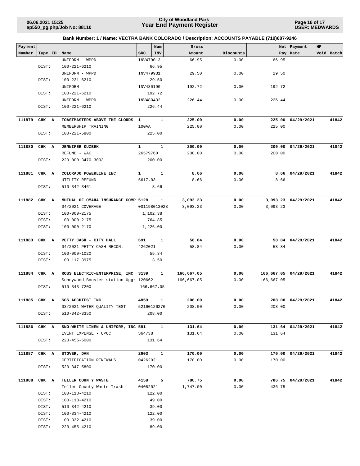**Page 16 of 17 USER: MEDWARDS**

| Payment      |           |                                                  |                     | Num          | Gross              |              | Net        | Payment               | HP |            |
|--------------|-----------|--------------------------------------------------|---------------------|--------------|--------------------|--------------|------------|-----------------------|----|------------|
| Number       | Type   ID | Name                                             | <b>SRC</b>          | INV          | Amount             | Discounts    |            | Pay Date              |    | Void Batch |
|              |           | UNIFORM - WPPD                                   | INV479013           |              | 66.95              | 0.00         | 66.95      |                       |    |            |
|              | DIST:     | 100-221-6210                                     |                     | 66.95        |                    |              |            |                       |    |            |
|              |           | UNIFORM - WPPD                                   | INV479931           |              | 29.50              | 0.00         | 29.50      |                       |    |            |
|              | DIST:     | 100-221-6210                                     |                     | 29.50        |                    |              |            |                       |    |            |
|              |           | UNIFORM                                          | INV480190           |              | 192.72             | 0.00         | 192.72     |                       |    |            |
|              | DIST:     | 100-221-6210                                     |                     | 192.72       |                    |              |            |                       |    |            |
|              |           | UNIFORM - WPPD                                   | INV480432           |              | 226.44             | 0.00         | 226.44     |                       |    |            |
|              | DIST:     | 100-221-6210                                     |                     | 226.44       |                    |              |            |                       |    |            |
| 111879       | CHK A     | TOASTMASTERS ABOVE THE CLOUDS                    | $\mathbf{1}$        | 1            | 225.00             | 0.00         |            | 225.00 04/29/2021     |    | 41842      |
|              |           | MEMBERSHIP TRAINING                              | 100AA               |              | 225.00             | 0.00         | 225.00     |                       |    |            |
|              | DIST:     | 100-221-5800                                     |                     | 225.00       |                    |              |            |                       |    |            |
|              |           |                                                  |                     |              |                    |              |            |                       |    |            |
| 111880       | CHK A     | <b>JENNIFER KUZBEK</b>                           | $\mathbf{1}$        | $\mathbf{1}$ | 200.00             | 0.00         |            | 200.00 04/29/2021     |    | 41842      |
|              |           | REFUND - WAC                                     | 26579760            |              | 200.00             | 0.00         | 200.00     |                       |    |            |
|              | DIST:     | 220-000-3470-3003                                |                     | 200.00       |                    |              |            |                       |    |            |
| 111881       | CHK A     | COLORADO POWERLINE INC                           | $\mathbf{1}$        | $\mathbf{1}$ | 8.66               | 0.00         |            | 8.66 04/29/2021       |    | 41842      |
|              |           | UTILITY REFUND                                   | 5617.03             |              | 8.66               | 0.00         | 8.66       |                       |    |            |
|              | DIST:     | 510-342-3461                                     |                     | 8.66         |                    |              |            |                       |    |            |
|              |           |                                                  |                     |              |                    |              |            |                       |    |            |
| 111882       | CHK A     | MUTUAL OF OMAHA INSURANCE COMP 5128              |                     | $\mathbf{1}$ | 3,093.23           | 0.00         |            | 3,093.23 04/29/2021   |    | 41842      |
|              |           | 04/2021 COVERAGE                                 |                     | 001198013023 | 3,093.23           | 0.00         | 3,093.23   |                       |    |            |
|              | DIST:     | 100-000-2175                                     |                     | 1,102.38     |                    |              |            |                       |    |            |
|              | DIST:     | 100-000-2175                                     |                     | 764.85       |                    |              |            |                       |    |            |
|              | DIST:     | 100-000-2170                                     |                     | 1,226.00     |                    |              |            |                       |    |            |
| 111883       | CHK A     | PETTY CASH - CITY HALL                           | 691                 | $\mathbf{1}$ | 58.84              | 0.00         |            | 58.84 04/29/2021      |    | 41842      |
|              |           | 04/2021 PETTY CASH RECON.                        | 4262021             |              | 58.84              | 0.00         | 58.84      |                       |    |            |
|              | DIST:     | 100-000-1020                                     |                     | 55.34        |                    |              |            |                       |    |            |
|              | DIST:     | 100-117-3975                                     |                     | 3.50         |                    |              |            |                       |    |            |
| 111884       | CHK A     | ROSS ELECTRIC-ENTERPRISE, INC 3139               |                     | 1            | 166,667.05         | 0.00         |            | 166,667.05 04/29/2021 |    | 41842      |
|              |           | Sunnywood Booster station Upgr 120662            |                     |              | 166,667.05         | 0.00         | 166,667.05 |                       |    |            |
|              | DIST:     | 510-343-7200                                     |                     | 166,667.05   |                    |              |            |                       |    |            |
|              |           |                                                  |                     |              |                    |              |            | 208.00 04/29/2021     |    |            |
| 111885 CHK A |           | SGS ACCUTEST INC.                                | 4859<br>52160126276 | $\mathbf{1}$ | 208.00<br>208.00   | 0.00<br>0.00 | 208.00     |                       |    | 41842      |
|              | DIST:     | 03/2021 WATER QUALITY TEST<br>510-342-3350       |                     | 208.00       |                    |              |            |                       |    |            |
|              |           |                                                  |                     |              |                    |              |            |                       |    |            |
| 111886       | CHK A     | SNO-WHITE LINEN & UNIFORM, INC 581               |                     | $\mathbf{1}$ | 131.64             | 0.00         |            | 131.64 04/29/2021     |    | 41842      |
|              |           | EVENT EXPENSE - UPCC                             | S64738              |              | 131.64             | 0.00         | 131.64     |                       |    |            |
|              | DIST:     | $220 - 455 - 5000$                               |                     | 131.64       |                    |              |            |                       |    |            |
| 111887       | CHK A     | STOVER, DAN                                      | 2603                | $\mathbf{1}$ | 170.00             | 0.00         |            | 170.00 04/29/2021     |    | 41842      |
|              |           | CERTIFICATION RENEWALS                           | 04262021            |              | 170.00             | 0.00         | 170.00     |                       |    |            |
|              | DIST:     | 520-347-5800                                     |                     | 170.00       |                    |              |            |                       |    |            |
|              |           |                                                  |                     |              |                    |              |            |                       |    |            |
| 111888       | CHK A     | TELLER COUNTY WASTE<br>Teller County Waste Trash | 4158<br>04082021    | 5            | 786.75<br>1,747.00 | 0.00<br>0.00 | 436.75     | 786.75 04/29/2021     |    | 41842      |
|              | DIST:     | 100-118-4210                                     |                     | 122.00       |                    |              |            |                       |    |            |
|              | DIST:     | 100-118-4210                                     |                     | 49.00        |                    |              |            |                       |    |            |
|              | DIST:     | 510-342-4210                                     |                     | 39.00        |                    |              |            |                       |    |            |
|              | DIST:     | 100-334-4210                                     |                     | 122.00       |                    |              |            |                       |    |            |
|              | DIST:     | 100-332-4210                                     |                     | 39.00        |                    |              |            |                       |    |            |
|              | DIST:     | 220-455-4210                                     |                     | 89.00        |                    |              |            |                       |    |            |
|              |           |                                                  |                     |              |                    |              |            |                       |    |            |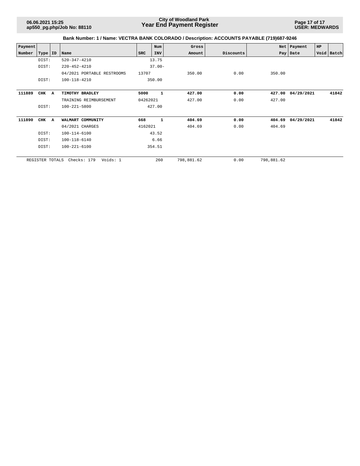**Page 17 of 17 USER: MEDWARDS**

| Payment |                 |   |                            |          | Num          | Gross      |           |            | Net   Payment | <b>HP</b> |            |
|---------|-----------------|---|----------------------------|----------|--------------|------------|-----------|------------|---------------|-----------|------------|
| Number  | Type   ID       |   | Name                       | SRC      | INV          | Amount     | Discounts |            | Pay   Date    |           | Void Batch |
|         | DIST:           |   | 520-347-4210               |          | 13.75        |            |           |            |               |           |            |
|         | DIST:           |   | $220 - 452 - 4210$         |          | $37.00 -$    |            |           |            |               |           |            |
|         |                 |   | 04/2021 PORTABLE RESTROOMS | 13707    |              | 350.00     | 0.00      | 350.00     |               |           |            |
|         | DIST:           |   | 100-118-4210               |          | 350.00       |            |           |            |               |           |            |
| 111889  | CHK             | A | TIMOTHY BRADLEY            | 5000     | 1            | 427.00     | 0.00      | 427.00     | 04/29/2021    |           | 41842      |
|         |                 |   | TRAINING REIMBURSEMENT     | 04262021 |              | 427.00     | 0.00      | 427.00     |               |           |            |
|         | DIST:           |   | 100-221-5800               |          | 427.00       |            |           |            |               |           |            |
| 111890  | CHK             | A | WALMART COMMUNITY          | 668      | $\mathbf{1}$ | 404.69     | 0.00      | 404.69     | 04/29/2021    |           | 41842      |
|         |                 |   | 04/2021 CHARGES            | 4162021  |              | 404.69     | 0.00      | 404.69     |               |           |            |
|         | DIST:           |   | 100-114-6100               |          | 43.52        |            |           |            |               |           |            |
|         | DIST:           |   | 100-118-6140               |          | 6.66         |            |           |            |               |           |            |
|         | DIST:           |   | $100 - 221 - 6100$         |          | 354.51       |            |           |            |               |           |            |
|         | REGISTER TOTALS |   | Voids: 1<br>Checks: 179    |          | 260          | 798,881.62 | 0.00      | 798,881.62 |               |           |            |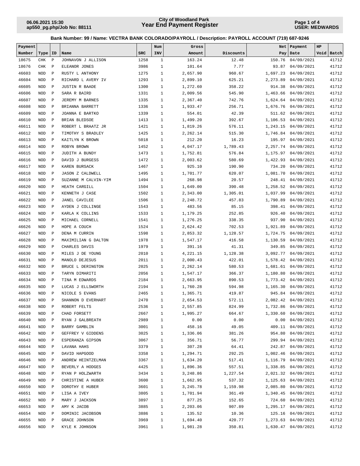**Page 1 of 4 USER: MEDWARDS**

| Payment |            |              |                         |            | Num          | Gross    |           | Net      | Payment             | HP   |       |
|---------|------------|--------------|-------------------------|------------|--------------|----------|-----------|----------|---------------------|------|-------|
| Number  | Type       | ID           | Name                    | <b>SRC</b> | INV          | Amount   | Discounts |          | Pay   Date          | Void | Batch |
| 18675   | <b>CHK</b> | $\, {\bf P}$ | JOHNAVON J ALLISON      | 1258       | $\mathbf{1}$ | 163.24   | 12.48     | 150.76   | 04/09/2021          |      | 41712 |
| 18676   | CHK        | $\mathbf P$  | ELEANOR JONES           | 3986       | $1\,$        | 101.64   | 7.77      | 93.87    | 04/09/2021          |      | 41712 |
| 46603   | <b>NOD</b> | $\mathbf P$  | RUSTY L ANTHONY         | 1275       | $\mathbf{1}$ | 2,657.90 | 960.67    | 1,697.23 | 04/09/2021          |      | 41712 |
| 46604   | <b>NOD</b> | $\mathbf P$  | RICHARD L AVERY IV      | 1293       | $\mathbf{1}$ | 2,899.10 | 625.21    | 2,273.89 | 04/09/2021          |      | 41712 |
| 46605   | <b>NOD</b> | $\mathbf P$  | JUSTIN R BAADE          | 1300       | $\mathbf{1}$ | 1,272.60 | 358.22    | 914.38   | 04/09/2021          |      | 41712 |
| 46606   | <b>NOD</b> | $\mathbf P$  | SARA R BAIRD            | 1331       | $\mathbf{1}$ | 2,009.56 | 545.90    | 1,463.66 | 04/09/2021          |      | 41712 |
| 46607   | <b>NOD</b> | $\mathbf P$  | JEREMY M BARNES         | 1335       | $\mathbf{1}$ | 2,367.40 | 742.76    |          | 1,624.64 04/09/2021 |      | 41712 |
| 46608   | <b>NOD</b> | $\mathbf P$  | BRIANNA BARRETT         | 1336       | $\mathbf{1}$ | 1,933.47 | 256.71    | 1,676.76 | 04/09/2021          |      | 41712 |
| 46609   | <b>NOD</b> | $\mathbf P$  | JOANNA E BARTKO         | 1339       | $\mathbf{1}$ | 554.01   | 42.39     | 511.62   | 04/09/2021          |      | 41712 |
| 46610   | <b>NOD</b> | $\mathbf P$  | BRIAN BLEDSOE           | 1413       | $\mathbf{1}$ | 1,499.20 | 392.67    | 1,106.53 | 04/09/2021          |      | 41712 |
| 46611   | <b>NOD</b> | $\mathbf P$  | ROBERT L BRAATZ JR      | 1421       | $\mathbf{1}$ | 1,819.26 | 576.11    | 1,243.15 | 04/09/2021          |      | 41712 |
| 46612   | <b>NOD</b> | $\mathbf P$  | TIMOTHY S BRADLEY       | 1425       | $\mathbf{1}$ | 2,262.14 | 515.30    | 1,746.84 | 04/09/2021          |      | 41712 |
| 46613   | <b>NOD</b> | $\mathbf P$  | KAITLYN K BROWN         | 5018       | $\mathbf{1}$ | 212.20   | 16.23     | 195.97   | 04/09/2021          |      | 41712 |
| 46614   | <b>NOD</b> | $\mathbf P$  | ROBYN BROWN             | 1452       | $\mathbf{1}$ | 4,047.17 | 1,789.43  | 2,257.74 | 04/09/2021          |      | 41712 |
| 46615   | <b>NOD</b> | $\mathbf P$  | JUDITH A BUNDY          | 1473       | $\mathbf{1}$ | 1,752.81 | 576.84    | 1,175.97 | 04/09/2021          |      | 41712 |
| 46616   | <b>NOD</b> | $\mathbf P$  | DAVID J BURGESS         | 1472       | $\mathbf{1}$ | 2,003.62 | 580.69    | 1,422.93 | 04/09/2021          |      | 41712 |
| 46617   | <b>NOD</b> | $\mathbf P$  | KAREN BURSACK           | 1467       | $\mathbf{1}$ | 925.10   | 190.90    | 734.20   | 04/09/2021          |      | 41712 |
| 46618   | <b>NOD</b> | $\mathbf P$  | <b>JASON Z CALDWELL</b> | 1495       | $\mathbf{1}$ | 1,701.77 | 620.07    | 1,081.70 | 04/09/2021          |      | 41712 |
| 46619   | <b>NOD</b> | $\mathbf P$  | SUZANNE M CALVIN-YIM    | 1494       | $\mathbf{1}$ | 268.98   | 20.57     | 248.41   | 04/09/2021          |      | 41712 |
| 46620   | <b>NOD</b> | $\mathbf P$  | HEATH CARGILL           | 1504       | $\mathbf{1}$ | 1,649.00 | 390.48    | 1,258.52 | 04/09/2021          |      | 41712 |
| 46621   | <b>NOD</b> | $\mathbf P$  | KENNETH J CASE          | 1502       | $\mathbf{1}$ | 2,343.00 | 1,305.01  | 1,037.99 | 04/09/2021          |      | 41712 |
| 46622   | <b>NOD</b> | $\mathbf P$  | <b>JANEL CAVILEE</b>    | 1506       | $\mathbf{1}$ | 2,248.72 | 457.83    | 1,790.89 | 04/09/2021          |      | 41712 |
| 46623   | <b>NOD</b> | $\mathbf P$  | AYDEN J COLLINGE        | 1543       | $\mathbf{1}$ | 483.56   | 85.15     | 398.41   | 04/09/2021          |      | 41712 |
| 46624   | <b>NOD</b> | $\mathbf P$  | KARLA K COLLINS         | 1533       | $\mathbf{1}$ | 1,179.25 | 252.85    | 926.40   | 04/09/2021          |      | 41712 |
| 46625   | <b>NOD</b> | $\mathbf P$  | MICHAEL CORNELL         | 1541       | $\mathbf{1}$ | 1,276.25 | 338.35    | 937.90   | 04/09/2021          |      | 41712 |
| 46626   | <b>NOD</b> | $\mathbf P$  | HOPE A COUCH            | 1524       | $\mathbf{1}$ | 2,624.42 | 702.53    | 1,921.89 | 04/09/2021          |      | 41712 |
| 46627   | <b>NOD</b> | $\mathbf P$  | DENA M CURRIN           | 1598       | $\mathbf{1}$ | 2,853.32 | 1,128.57  | 1,724.75 | 04/09/2021          |      | 41712 |
| 46628   | <b>NOD</b> | $\mathbf P$  | MAXIMILIAN G DALTON     | 1978       | $\mathbf{1}$ | 1,547.17 | 416.58    | 1,130.59 | 04/09/2021          |      | 41712 |
| 46629   | <b>NOD</b> | $\mathbf P$  | CHARLES DAVIS           | 1979       | $\mathbf{1}$ | 391.16   | 41.31     | 349.85   | 04/09/2021          |      | 41712 |
| 46630   | <b>NOD</b> | $\mathbf P$  | MILES J DE YOUNG        | 2010       | $\mathbf{1}$ | 4,221.15 | 1,128.38  | 3,092.77 | 04/09/2021          |      | 41712 |
| 46631   | <b>NOD</b> | $\mathbf P$  | MANOLO DEJESUS          | 2011       | $\mathbf{1}$ | 2,000.43 | 422.01    | 1,578.42 | 04/09/2021          |      | 41712 |
| 46632   | <b>NOD</b> | $\mathbf P$  | BRUCE L DERINGTON       | 2025       | $\mathbf{1}$ | 2,262.14 | 580.53    | 1,681.61 | 04/09/2021          |      | 41712 |
| 46633   | <b>NOD</b> | $\mathbf P$  | TARYN DIMARITI          | 2056       | $\mathbf{1}$ | 1,547.17 | 366.37    | 1,180.80 | 04/09/2021          |      | 41712 |
| 46634   | <b>NOD</b> | $\mathbf P$  | TINA M EDWARDS          | 2184       | $\mathbf{1}$ | 2,663.95 | 890.53    |          | 1,773.42 04/09/2021 |      | 41712 |
| 46635   | <b>NOD</b> | $\mathbf P$  | LUCAS J ELLSWORTH       | 2194       | $\mathbf{1}$ | 1,760.28 | 594.98    | 1,165.30 | 04/09/2021          |      | 41712 |
| 46636   | <b>NOD</b> | $\mathbf P$  | NICOLE S EVANS          | 2465       | $\mathbf{1}$ | 1,365.71 | 419.87    | 945.84   | 04/09/2021          |      | 41712 |
| 46637   | <b>NOD</b> | $\mathbf P$  | SHANNON D EVERHART      | 2470       | $\mathbf{1}$ | 2,654.53 | 572.11    | 2,082.42 | 04/09/2021          |      | 41712 |
| 46638   | NOD        | $\mathbf P$  | ROBERT FELTS            | 2536       | 1            | 2,557.85 | 824.99    |          | 1,732.86 04/09/2021 |      | 41712 |
| 46639   | NOD        | $\mathbb{P}$ | CHAD FORSETT            | 2667       | $\mathbf{1}$ | 1,995.27 | 664.67    |          | 1,330.60 04/09/2021 |      | 41712 |
| 46640   | NOD        | $\mathbb{P}$ | RYAN J GALBREATH        | 2989       | $\mathbf{1}$ | 0.00     | 0.00      |          | 0.00 04/09/2021     |      | 41712 |
| 46641   | NOD        | $\mathbf P$  | BARRY GAMBLIN           | 3001       | $\mathbf{1}$ | 458.16   | 49.05     |          | 409.11 04/09/2021   |      | 41712 |
| 46642   | NOD        | $\mathbf P$  | GEFFREY V GIDDENS       | 3025       | $\mathbf{1}$ | 1,336.06 | 381.26    |          | 954.80 04/09/2021   |      | 41712 |
| 46643   | NOD        | $\mathbf P$  | ESPERANZA GIPSON        | 3067       | 1            | 356.71   | 56.77     |          | 299.94 04/09/2021   |      | 41712 |
| 46644   | NOD        | $\mathbb{P}$ | LAVANA HAHS             | 3379       | 1            | 307.28   | 64.41     |          | 242.87 04/09/2021   |      | 41712 |
| 46645   | NOD        | $\mathbf P$  | DAVID HAPGOOD           | 3358       | $\mathbf{1}$ | 1,294.71 | 292.25    |          | 1,002.46 04/09/2021 |      | 41712 |
| 46646   | NOD        | $\mathbb P$  | ANDREW HEINTZELMAN      | 3367       | $\mathbf{1}$ | 1,634.20 | 517.41    |          | 1,116.79 04/09/2021 |      | 41712 |
| 46647   | NOD        | $\mathbb P$  | BEVERLY A HODGES        | 4425       | $\mathbf{1}$ | 1,896.36 | 557.51    |          | 1,338.85 04/09/2021 |      | 41712 |
| 46648   | NOD        | $\mathbf P$  | RYAN P HOLZWARTH        | 3434       | $\mathbf{1}$ | 3,248.86 | 1,227.54  |          | 2,021.32 04/09/2021 |      | 41712 |
| 46649   | NOD        | $\mathbb{P}$ | CHRISTINE A HUBER       | 3600       | $\mathbf{1}$ | 1,662.95 | 537.32    |          | 1,125.63 04/09/2021 |      | 41712 |
| 46650   | NOD        | $\mathbb{P}$ | DOROTHY E HUBER         | 3601       | $\mathbf{1}$ | 3,245.78 | 1,159.98  |          | 2,085.80 04/09/2021 |      | 41712 |
| 46651   | NOD        | $\mathbf P$  | LISA A IVEY             | 3805       | 1            | 1,701.94 | 361.49    |          | 1,340.45 04/09/2021 |      | 41712 |
| 46652   | NOD        | $\mathbf P$  | MARY J JACKSON          | 3897       | $\mathbf{1}$ | 877.25   | 152.65    |          | 724.60 04/09/2021   |      | 41712 |
| 46653   | NOD        | $\mathbb{P}$ | AMY K JACOB             | 3885       | $\mathbf{1}$ | 2,203.06 | 907.89    |          | 1,295.17 04/09/2021 |      | 41712 |
| 46654   | NOD        | $\mathbb{P}$ | DOMINIC JACOBSON        | 3886       | $\mathbf{1}$ | 135.52   | 10.36     |          | 125.16 04/09/2021   |      | 41712 |
| 46655   | NOD        | $\mathbb P$  | GRACE JOHNSON           | 3969       | $\mathbf{1}$ | 1,694.40 | 420.77    |          | 1,273.63 04/09/2021 |      | 41712 |
| 46656   | NOD        | $\mathbb{P}$ | KYLE K JOHNSON          | 3961       | $\mathbf{1}$ | 1,981.28 | 350.81    |          | 1,630.47 04/09/2021 |      | 41712 |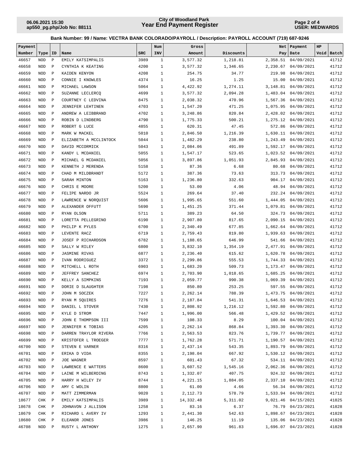**Page 2 of 4 USER: MEDWARDS**

| Payment |            |              |                        |            | Num          | Gross     |           | Net      | Payment             | HP   |       |
|---------|------------|--------------|------------------------|------------|--------------|-----------|-----------|----------|---------------------|------|-------|
| Number  | Type       | ID           | Name                   | <b>SRC</b> | INV          | Amount    | Discounts |          | Pay   Date          | Void | Batch |
| 46657   | <b>NOD</b> | $\, {\bf P}$ | EMILY KATSIMPALIS      | 3989       | $\mathbf{1}$ | 3,577.32  | 1,218.81  | 2,358.51 | 04/09/2021          |      | 41712 |
| 46658   | <b>NOD</b> | $\mathbf P$  | CYNTHIA K KEATING      | 4200       | $1\,$        | 3,577.32  | 1,346.65  | 2,230.67 | 04/09/2021          |      | 41712 |
| 46659   | <b>NOD</b> | $\mathbf P$  | KAIDEN KENYON          | 4208       | $1\,$        | 254.75    | 34.77     | 219.98   | 04/09/2021          |      | 41712 |
| 46660   | <b>NOD</b> | $\mathbf P$  | CONNIE I KNOWLES       | 4374       | $\mathbf{1}$ | 16.25     | 1.25      | 15.00    | 04/09/2021          |      | 41712 |
| 46661   | <b>NOD</b> | $\mathbf P$  | MICHAEL LAWSON         | 5064       | $\mathbf{1}$ | 4,422.92  | 1,274.11  | 3,148.81 | 04/09/2021          |      | 41712 |
| 46662   | <b>NOD</b> | $\mathbf P$  | SUZANNE LECLERCQ       | 4699       | $\mathbf{1}$ | 3,577.32  | 2,094.28  |          | 1,483.04 04/09/2021 |      | 41712 |
| 46663   | <b>NOD</b> | $\mathbf P$  | COURTNEY C LEDVINA     | 8475       | $\mathbf{1}$ | 2,038.32  | 470.96    | 1,567.36 | 04/09/2021          |      | 41712 |
| 46664   | <b>NOD</b> | $\mathbf P$  |                        | 4703       | $\mathbf{1}$ | 1,547.20  | 471.25    | 1,075.95 | 04/09/2021          |      | 41712 |
|         |            |              | JENNIFER LEHTINEN      |            |              |           |           |          |                     |      |       |
| 46665   | <b>NOD</b> | $\mathbf{P}$ | ANDREW A LEIBBRAND     | 4702       | $\mathbf{1}$ | 3,248.86  | 820.84    | 2,428.02 | 04/09/2021          |      | 41712 |
| 46666   | <b>NOD</b> | $\mathbf P$  | ROBIN D LINDBERG       | 4790       | $\mathbf{1}$ | 1,775.33  | 500.21    | 1,275.12 | 04/09/2021          |      | 41712 |
| 46667   | <b>NOD</b> | $\mathbf P$  | ROBERT G LUCE          | 4855       | $\mathbf{1}$ | 620.31    | 47.45     | 572.86   | 04/09/2021          |      | 41712 |
| 46668   | <b>NOD</b> | $\mathbf P$  | MARK W MACKEL          | 5010       | $\mathbf{1}$ | 2,846.50  | 1,216.39  | 1,630.11 | 04/09/2021          |      | 41712 |
| 46669   | <b>NOD</b> | $\mathbf P$  | ELIZABETH A MCCLINTOCK | 5044       | $\mathbf{1}$ | 1,482.29  | 238.80    | 1,243.49 | 04/09/2021          |      | 41712 |
| 46670   | <b>NOD</b> | $\mathbf P$  | DAVID MCCORMICK        | 5043       | $\mathbf{1}$ | 2,084.06  | 491.89    | 1,592.17 | 04/09/2021          |      | 41712 |
| 46671   | <b>NOD</b> | $\mathbf P$  | KANDY L MCDANIEL       | 5055       | $\mathbf{1}$ | 1,547.17  | 523.65    | 1,023.52 | 04/09/2021          |      | 41712 |
| 46672   | <b>NOD</b> | $\mathbf P$  | MICHAEL G MCDANIEL     | 5056       | $\mathbf{1}$ | 3,897.86  | 1,051.93  | 2,845.93 | 04/09/2021          |      | 41712 |
| 46673   | <b>NOD</b> | $\mathbf P$  | KENNETH J MERENDA      | 5158       | $\mathbf{1}$ | 87.36     | 6.68      | 80.68    | 04/09/2021          |      | 41712 |
| 46674   | <b>NOD</b> | $\mathbf P$  | CHAD M MILDBRANDT      | 5172       | $\mathbf{1}$ | 387.36    | 73.63     | 313.73   | 04/09/2021          |      | 41712 |
| 46675   | <b>NOD</b> | $\mathbf P$  | SARAH MINTON           | 5163       | $\mathbf{1}$ | 1,236.80  | 332.63    | 904.17   | 04/09/2021          |      | 41712 |
| 46676   | <b>NOD</b> | $\mathbf P$  | CHRIS E MOORE          | 5200       | $\mathbf{1}$ | 53.00     | 4.06      | 48.94    | 04/09/2021          |      | 41712 |
| 46677   | <b>NOD</b> | $\mathbf P$  | FELIPE NARDO JR        | 5524       | $\mathbf{1}$ | 269.64    | 37.40     | 232.24   | 04/09/2021          |      | 41712 |
| 46678   | <b>NOD</b> | $\mathbf P$  | LAWRENCE W NORQUIST    | 5606       | $\mathbf{1}$ | 1,995.65  | 551.60    | 1,444.05 | 04/09/2021          |      | 41712 |
| 46679   | <b>NOD</b> | $\mathbf P$  | ALEXANDER OFFUTT       | 5690       | $\mathbf{1}$ | 1,451.25  | 371.44    | 1,079.81 | 04/09/2021          |      | 41712 |
| 46680   | <b>NOD</b> | $\mathbf P$  | RYAN OLSON             | 5711       | $\mathbf{1}$ | 389.23    | 64.50     | 324.73   | 04/09/2021          |      | 41712 |
| 46681   | <b>NOD</b> | $\mathbf P$  | LORETTA PELLEGRINO     | 6190       | $\mathbf{1}$ | 2,907.80  | 817.65    | 2,090.15 | 04/09/2021          |      | 41712 |
| 46682   | <b>NOD</b> | $\mathbf P$  | PHILIP K PYLES         | 6700       | $\mathbf{1}$ | 2,340.49  | 677.85    | 1,662.64 | 04/09/2021          |      | 41712 |
| 46683   | <b>NOD</b> | $\mathbf P$  | LEVENTE RACZ           | 6719       | $\mathbf{1}$ | 2,759.43  | 819.80    | 1,939.63 | 04/09/2021          |      | 41712 |
| 46684   | <b>NOD</b> | $\mathbf P$  | JOSEF P RICHARDSON     | 6782       | $\mathbf{1}$ | 1,188.65  | 646.99    | 541.66   | 04/09/2021          |      | 41712 |
| 46685   |            |              |                        |            |              |           |           |          |                     |      | 41712 |
|         | <b>NOD</b> | $\mathbf P$  | SALLY W RILEY          | 6800       | $\mathbf{1}$ | 3,832.10  | 1,354.19  | 2,477.91 | 04/09/2021          |      |       |
| 46686   | <b>NOD</b> | $\mathbf P$  | <b>JASMINE RIVAS</b>   | 6877       | $\mathbf{1}$ | 2,236.40  | 615.62    | 1,620.78 | 04/09/2021          |      | 41712 |
| 46687   | <b>NOD</b> | $\mathbf P$  | IVAN RODRIGUEZ         | 3372       | $\mathbf{1}$ | 2,299.86  | 555.53    | 1,744.33 | 04/09/2021          |      | 41712 |
| 46688   | <b>NOD</b> | $\mathbf P$  | MITCHELL L ROTH        | 6903       | $\mathbf{1}$ | 1,683.20  | 509.73    | 1,173.47 | 04/09/2021          |      | 41712 |
| 46689   | <b>NOD</b> | $\mathbf P$  | JEFFREY SANCHEZ        | 6974       | $\mathbf{1}$ | 2,703.90  | 1,018.65  | 1,685.25 | 04/09/2021          |      | 41712 |
| 46690   | <b>NOD</b> | $\mathbf P$  | KELLY A SIMPKINS       | 7193       | $\mathbf{1}$ | 2,059.77  | 990.38    | 1,069.39 | 04/09/2021          |      | 41712 |
| 46691   | <b>NOD</b> | $\mathbf P$  | DORIE D SLAUGHTER      | 7198       | $\mathbf{1}$ | 850.80    | 253.25    | 597.55   | 04/09/2021          |      | 41712 |
| 46692   | <b>NOD</b> | $\mathbf{P}$ | JOHN M SOCZEK          | 7227       | $\mathbf{1}$ | 2,262.14  | 788.39    | 1,473.75 | 04/09/2021          |      | 41712 |
| 46693   | <b>NOD</b> | $\mathbf P$  | RYAN M SQUIRES         | 7276       | $\mathbf{1}$ | 2,187.84  | 541.31    | 1,646.53 | 04/09/2021          |      | 41712 |
| 46694   | <b>NOD</b> | $\mathbf{P}$ | DANIEL L STOVER        | 7430       | 1            | 2,808.92  | 1,216.12  |          | 1,592.80 04/09/2021 |      | 41712 |
| 46695   | NOD        | $\mathbb{P}$ | KYLE D STROM           | 7447       | 1            | 1,996.00  | 566.48    |          | 1,429.52 04/09/2021 |      | 41712 |
| 46696   | NOD        | $\mathbb{P}$ | JOHN E THOMPSON III    | 7599       | 1            | 108.33    | 8.29      |          | 100.04 04/09/2021   |      | 41712 |
| 46697   | NOD        | $\mathbb{P}$ | JENNIFER K TOBIAS      | 4205       | 1            | 2,262.14  | 868.84    |          | 1,393.30 04/09/2021 |      | 41712 |
| 46698   | NOD        | $\mathbb{P}$ | DARREN TRAYLOR RIVERA  | 7766       | 1            | 2,563.53  | 823.76    |          | 1,739.77 04/09/2021 |      | 41712 |
| 46699   | NOD        | $\mathbb{P}$ | KRISTOFER L TROEGER    | 7777       | $\mathbf{1}$ | 1,762.28  | 571.71    |          | 1,190.57 04/09/2021 |      | 41712 |
| 46700   | NOD        | $\mathbf P$  | STEVEN E VARNER        | 8316       | $\mathbf{1}$ | 2,437.14  | 543.35    | 1,893.79 | 04/09/2021          |      | 41712 |
| 46701   | NOD        | $\mathbb P$  | ERIKA D VIDA           | 8355       | $\mathbf{1}$ | 2,198.04  | 667.92    |          | 1,530.12 04/09/2021 |      | 41712 |
| 46702   | NOD        | $\mathbf P$  | JOE WAGNER             | 8597       | $\mathbf{1}$ | 601.43    | 67.32     |          | 534.11 04/09/2021   |      | 41712 |
| 46703   | NOD        | $\mathbb{P}$ | LAWRENCE E WATTERS     | 8600       | 1            | 3,607.52  | 1,545.16  |          | 2,062.36 04/09/2021 |      | 41712 |
| 46704   | NOD        | $\mathbb{P}$ | LAINE M WILBERDING     | 8743       | 1            | 1,332.07  | 407.75    |          | 924.32 04/09/2021   |      | 41712 |
| 46705   | NOD        | $\mathbb{P}$ | HARRY H WILEY IV       | 8744       | 1            | 4,221.15  | 1,884.05  |          | 2,337.10 04/09/2021 |      | 41712 |
| 46706   | NOD        | $\mathbb{P}$ | AMY C WOLIN            | 8800       | 1            | 61.00     | 4.66      |          | 56.34 04/09/2021    |      | 41712 |
| 46707   | NOD        | $\mathbf P$  | MATT ZIMMERMAN         | 9020       | $\mathbf{1}$ | 2,112.73  | 578.79    |          | 1,533.94 04/09/2021 |      | 41712 |
| 18677   | CHK        | $\mathbb{P}$ | EMILY KATSIMPALIS      | 3989       | 1            | 14,332.48 | 5,311.02  |          | 9,021.46 04/15/2021 |      | 41825 |
|         |            | $\mathbb{P}$ |                        |            |              |           |           |          |                     |      |       |
| 18678   | CHK        |              | JOHNAVON J ALLISON     | 1258       | $\mathbf{1}$ | 83.16     | 6.37      |          | 76.79 04/23/2021    |      | 41828 |
| 18679   | CHK        | $\mathbb{P}$ | RICHARD L AVERY IV     | 1293       | $\mathbf{1}$ | 2,441.30  | 542.63    |          | 1,898.67 04/23/2021 |      | 41828 |
| 18680   | CHK        | $\mathbb{P}$ | ELEANOR JONES          | 3986       | $\mathbf{1}$ | 146.25    | 11.19     |          | 135.06 04/23/2021   |      | 41828 |
| 46708   | NOD P      |              | RUSTY L ANTHONY        | 1275       | $\mathbf{1}$ | 2,657.90  | 961.83    |          | 1,696.07 04/23/2021 |      | 41828 |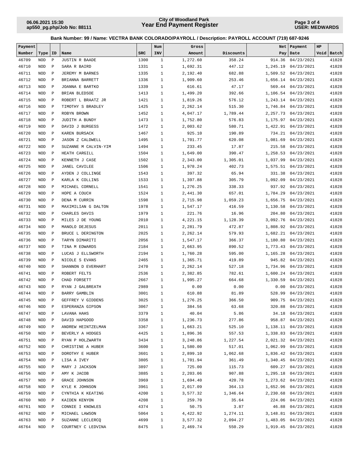**Page 3 of 4 USER: MEDWARDS**

| Payment |            |              |                         |            | Num          | Gross    |           | Net      | Payment              | HP |            |
|---------|------------|--------------|-------------------------|------------|--------------|----------|-----------|----------|----------------------|----|------------|
| Number  | Type       | ID           | Name                    | <b>SRC</b> | INV          | Amount   | Discounts |          | Pay   Date           |    | Void Batch |
| 46709   | <b>NOD</b> | $\, {\bf P}$ | <b>JUSTIN R BAADE</b>   | 1300       | $\mathbf{1}$ | 1,272.60 | 358.24    | 914.36   | 04/23/2021           |    | 41828      |
| 46710   | <b>NOD</b> | $\mathbf P$  | SARA R BAIRD            | 1331       | $\mathbf{1}$ | 1,692.31 | 447.12    | 1,245.19 | 04/23/2021           |    | 41828      |
| 46711   | <b>NOD</b> | $\mathbf P$  | JEREMY M BARNES         | 1335       | $\mathbf{1}$ | 2,192.40 | 682.88    | 1,509.52 | 04/23/2021           |    | 41828      |
| 46712   | <b>NOD</b> | $\mathbf P$  | BRIANNA BARRETT         | 1336       | $\mathbf{1}$ | 1,909.60 | 253.46    | 1,656.14 | 04/23/2021           |    | 41828      |
| 46713   | <b>NOD</b> | $\mathbf P$  | JOANNA E BARTKO         | 1339       | $\mathbf{1}$ | 616.61   | 47.17     |          | 569.44 04/23/2021    |    | 41828      |
| 46714   | <b>NOD</b> | $\, {\bf P}$ | BRIAN BLEDSOE           | 1413       | $\mathbf{1}$ | 1,499.20 | 392.66    |          | 1,106.54 04/23/2021  |    | 41828      |
| 46715   | <b>NOD</b> | $\mathbf P$  | ROBERT L BRAATZ JR      | 1421       | $\mathbf{1}$ | 1,819.26 | 576.12    |          | 1,243.14 04/23/2021  |    | 41828      |
| 46716   | <b>NOD</b> | $\mathbf P$  | TIMOTHY S BRADLEY       | 1425       | $\mathbf{1}$ | 2,262.14 | 515.30    |          | 1,746.84 04/23/2021  |    | 41828      |
| 46717   | <b>NOD</b> | $\mathbf P$  | ROBYN BROWN             | 1452       | $\mathbf{1}$ | 4,047.17 | 1,789.44  |          | 2, 257.73 04/23/2021 |    | 41828      |
| 46718   | <b>NOD</b> | $\mathbf{P}$ | JUDITH A BUNDY          | 1473       | $\mathbf{1}$ | 1,752.80 | 576.83    | 1,175.97 | 04/23/2021           |    | 41828      |
| 46719   | <b>NOD</b> | $\mathbf P$  | DAVID J BURGESS         | 1472       | $\mathbf{1}$ | 2,003.62 | 580.71    | 1,422.91 | 04/23/2021           |    | 41828      |
| 46720   | <b>NOD</b> | $\mathbf{P}$ | KAREN BURSACK           | 1467       | $\mathbf{1}$ | 925.10   | 190.89    |          | 734.21 04/23/2021    |    | 41828      |
| 46721   | <b>NOD</b> | $\mathbf{P}$ | <b>JASON Z CALDWELL</b> | 1495       | $\mathbf{1}$ | 1,701.77 | 620.08    | 1,081.69 | 04/23/2021           |    | 41828      |
| 46722   | <b>NOD</b> | $\mathbf{P}$ | SUZANNE M CALVIN-YIM    | 1494       | $\mathbf{1}$ | 233.45   | 17.87     | 215.58   | 04/23/2021           |    | 41828      |
| 46723   | <b>NOD</b> | $\, {\bf P}$ | HEATH CARGILL           | 1504       | $\mathbf{1}$ | 1,649.00 | 390.47    | 1,258.53 | 04/23/2021           |    | 41828      |
| 46724   | <b>NOD</b> | $\mathbf{P}$ | KENNETH J CASE          | 1502       | $\mathbf{1}$ | 2,343.00 | 1,305.01  |          | 1,037.99 04/23/2021  |    | 41828      |
| 46725   | <b>NOD</b> | $\mathbf P$  | <b>JANEL CAVILEE</b>    | 1506       | $\mathbf{1}$ | 1,978.24 | 402.73    |          | 1,575.51 04/23/2021  |    | 41828      |
| 46726   | <b>NOD</b> | $\, {\bf P}$ | AYDEN J COLLINGE        | 1543       | $\mathbf{1}$ | 397.32   | 65.94     | 331.38   | 04/23/2021           |    | 41828      |
| 46727   | <b>NOD</b> | $\mathbf P$  | KARLA K COLLINS         | 1533       | $\mathbf{1}$ | 1,397.88 | 305.79    | 1,092.09 | 04/23/2021           |    | 41828      |
| 46728   | <b>NOD</b> | $\mathbf P$  | MICHAEL CORNELL         | 1541       | $\mathbf{1}$ | 1,276.25 | 338.33    | 937.92   | 04/23/2021           |    | 41828      |
| 46729   | <b>NOD</b> | $\mathbf P$  | HOPE A COUCH            | 1524       | $\mathbf{1}$ | 2,441.30 | 657.01    | 1,784.29 | 04/23/2021           |    | 41828      |
| 46730   | <b>NOD</b> | $\mathbf P$  | DENA M CURRIN           | 1598       | $\mathbf{1}$ | 2,715.98 | 1,059.23  | 1,656.75 | 04/23/2021           |    | 41828      |
| 46731   | <b>NOD</b> | $\mathbf P$  | MAXIMILIAN G DALTON     | 1978       | $\mathbf{1}$ | 1,547.17 | 416.59    | 1,130.58 | 04/23/2021           |    | 41828      |
| 46732   | <b>NOD</b> | $\, {\bf P}$ | CHARLES DAVIS           | 1979       | $\mathbf{1}$ | 221.76   | 16.96     | 204.80   | 04/23/2021           |    | 41828      |
| 46733   | <b>NOD</b> | $\mathbf P$  | MILES J DE YOUNG        | 2010       | $\mathbf{1}$ | 4,221.15 | 1,128.39  |          | 3,092.76 04/23/2021  |    | 41828      |
| 46734   | <b>NOD</b> | $\mathbf P$  | MANOLO DEJESUS          | 2011       | $\mathbf{1}$ | 2,281.79 | 472.87    |          | 1,808.92 04/23/2021  |    | 41828      |
| 46735   | <b>NOD</b> | $\mathbf P$  | BRUCE L DERINGTON       | 2025       | $\mathbf{1}$ | 2,262.14 | 579.93    | 1,682.21 | 04/23/2021           |    | 41828      |
| 46736   | <b>NOD</b> | $\mathbf P$  | TARYN DIMARITI          | 2056       | $\mathbf{1}$ | 1,547.17 | 366.37    | 1,180.80 | 04/23/2021           |    | 41828      |
| 46737   | <b>NOD</b> | $\mathbf P$  | TINA M EDWARDS          | 2184       | $\mathbf{1}$ | 2,663.95 | 890.52    | 1,773.43 | 04/23/2021           |    | 41828      |
| 46738   | <b>NOD</b> | $\mathbf P$  | LUCAS J ELLSWORTH       | 2194       | $\mathbf{1}$ | 1,760.28 | 595.00    | 1,165.28 | 04/23/2021           |    | 41828      |
| 46739   | <b>NOD</b> | $\mathbf{P}$ | NICOLE S EVANS          | 2465       | $\mathbf{1}$ | 1,365.71 | 419.89    | 945.82   | 04/23/2021           |    | 41828      |
| 46740   | <b>NOD</b> | $\mathbf P$  | SHANNON D EVERHART      | 2470       | $\mathbf{1}$ | 2,262.14 | 527.18    |          | 1,734.96 04/23/2021  |    | 41828      |
| 46741   | <b>NOD</b> | $\, {\bf P}$ | ROBERT FELTS            | 2536       | $\mathbf{1}$ | 2,382.85 | 782.61    |          | 1,600.24 04/23/2021  |    | 41828      |
| 46742   | <b>NOD</b> | $\, {\bf P}$ | CHAD FORSETT            | 2667       | $\mathbf{1}$ | 1,995.27 | 664.68    |          | 1,330.59 04/23/2021  |    | 41828      |
| 46743   | <b>NOD</b> | $\mathbf P$  | RYAN J GALBREATH        | 2989       | $\mathbf{1}$ | 0.00     | 0.00      |          | 0.00 04/23/2021      |    | 41828      |
| 46744   | <b>NOD</b> | $\mathbf P$  | BARRY GAMBLIN           | 3001       | $\mathbf{1}$ | 610.88   | 81.89     | 528.99   | 04/23/2021           |    | 41828      |
| 46745   | <b>NOD</b> | $\mathbf P$  | GEFFREY V GIDDENS       | 3025       | $\mathbf{1}$ | 1,276.25 | 366.50    | 909.75   | 04/23/2021           |    | 41828      |
| 46746   | NOD        | $\mathbf{P}$ | ESPERANZA GIPSON        | 3067       | $\mathbf{1}$ | 384.56   | 63.68     |          | 320.88 04/23/2021    |    | 41828      |
| 46747   | NOD P      |              | LAVANA HAHS             | 3379       | $\mathbf{1}$ | 40.04    | 5.86      |          | 34.18 04/23/2021     |    | 41828      |
| 46748   | NOD        | $\mathbb{P}$ | DAVID HAPGOOD           | 3358       | $\mathbf{1}$ | 1,236.73 | 277.86    |          | 958.87 04/23/2021    |    | 41828      |
| 46749   | NOD        | $\mathbb{P}$ | ANDREW HEINTZELMAN      | 3367       | $\mathbf{1}$ | 1,663.21 | 525.10    |          | 1,138.11 04/23/2021  |    | 41828      |
| 46750   | NOD        | $\mathbb{P}$ | BEVERLY A HODGES        | 4425       | $\mathbf{1}$ | 1,896.36 | 557.53    |          | 1,338.83 04/23/2021  |    | 41828      |
| 46751   | NOD        | $\mathbb{P}$ | RYAN P HOLZWARTH        | 3434       | $\mathbf{1}$ | 3,248.86 | 1,227.54  |          | 2,021.32 04/23/2021  |    | 41828      |
| 46752   | NOD        | $\mathbb{P}$ | CHRISTINE A HUBER       | 3600       | 1            | 1,580.00 | 517.01    |          | 1,062.99 04/23/2021  |    | 41828      |
| 46753   | NOD        | $\mathbb{P}$ | DOROTHY E HUBER         | 3601       | $\mathbf{1}$ | 2,899.10 | 1,062.68  |          | 1,836.42 04/23/2021  |    | 41828      |
| 46754   | NOD        | $\mathbb{P}$ | LISA A IVEY             | 3805       | $\mathbf{1}$ | 1,701.94 | 361.49    |          | 1,340.45 04/23/2021  |    | 41828      |
| 46755   | NOD        | $\mathbb P$  | MARY J JACKSON          | 3897       | $\mathbf{1}$ | 725.00   | 115.73    |          | 609.27 04/23/2021    |    | 41828      |
| 46756   | NOD        | $\mathbb P$  | AMY K JACOB             | 3885       | $\mathbf{1}$ | 2,203.06 | 907.88    |          | 1,295.18 04/23/2021  |    | 41828      |
| 46757   | NOD        | $\mathbb{P}$ | GRACE JOHNSON           | 3969       | $\mathbf{1}$ | 1,694.40 | 420.78    |          | 1,273.62 04/23/2021  |    | 41828      |
| 46758   | NOD        | $\mathbb{P}$ | KYLE K JOHNSON          | 3961       | $\mathbf{1}$ | 2,017.09 | 364.13    |          | 1,652.96 04/23/2021  |    | 41828      |
| 46759   | NOD        | $\mathbb{P}$ | CYNTHIA K KEATING       | 4200       | 1            | 3,577.32 | 1,346.64  |          | 2,230.68 04/23/2021  |    | 41828      |
| 46760   | NOD        | $\mathbb{P}$ | KAIDEN KENYON           | 4208       | 1            | 259.70   | 35.64     |          | 224.06 04/23/2021    |    | 41828      |
| 46761   | NOD        | $\mathbb{P}$ | CONNIE I KNOWLES        | 4374       | $\mathbf{1}$ | 50.75    | 3.87      |          | 46.88 04/23/2021     |    | 41828      |
| 46762   | NOD        | $\mathbb{P}$ | MICHAEL LAWSON          | 5064       | $\mathbf{1}$ | 4,422.92 | 1,274.11  |          | 3, 148.81 04/23/2021 |    | 41828      |
| 46763   | NOD        | $\mathbb P$  | SUZANNE LECLERCQ        | 4699       | $\mathbf{1}$ | 3,577.32 | 2,094.27  |          | 1,483.05 04/23/2021  |    | 41828      |
| 46764   | NOD        | $\mathbb{P}$ | COURTNEY C LEDVINA      | 8475       | $\mathbf{1}$ | 2,469.74 | 550.29    |          | 1,919.45 04/23/2021  |    | 41828      |